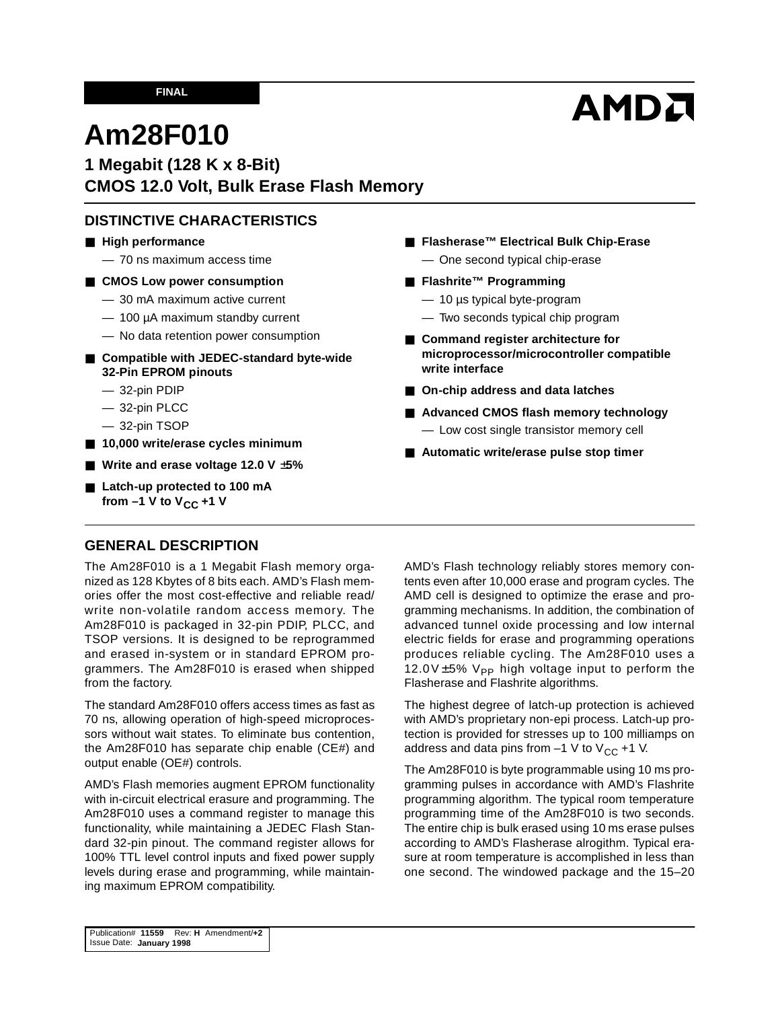#### **FINAL**

# **AMDA**

# **Am28F010**

**1 Megabit (128 K x 8-Bit) CMOS 12.0 Volt, Bulk Erase Flash Memory**

## **DISTINCTIVE CHARACTERISTICS**

#### ■ **High performance**

- 70 ns maximum access time
- **CMOS** Low power consumption
	- 30 mA maximum active current
	- 100 µA maximum standby current
	- No data retention power consumption
- **Compatible with JEDEC-standard byte-wide 32-Pin EPROM pinouts** 
	- 32-pin PDIP
	- 32-pin PLCC
	- 32-pin TSOP
- **10,000** write/erase cycles minimum
- Write and erase voltage 12.0 V ±5%
- Latch-up protected to 100 mA from  $-1$  V to V<sub>CC</sub> +1 V
- **Flasherase™ Electrical Bulk Chip-Erase**
	- One second typical chip-erase
- **Flashrite™ Programming**
	- 10 µs typical byte-program
	- Two seconds typical chip program
- **Command register architecture for microprocessor/microcontroller compatible write interface**
- On-chip address and data latches
- **Advanced CMOS flash memory technology** — Low cost single transistor memory cell
- **Automatic write/erase pulse stop timer**

## **GENERAL DESCRIPTION**

The Am28F010 is a 1 Megabit Flash memory organized as 128 Kbytes of 8 bits each. AMD's Flash memories offer the most cost-effective and reliable read/ write non-volatile random access memory. The Am28F010 is packaged in 32-pin PDIP, PLCC, and TSOP versions. It is designed to be reprogrammed and erased in-system or in standard EPROM programmers. The Am28F010 is erased when shipped from the factory.

The standard Am28F010 offers access times as fast as 70 ns, allowing operation of high-speed microprocessors without wait states. To eliminate bus contention, the Am28F010 has separate chip enable (CE#) and output enable (OE#) controls.

AMD's Flash memories augment EPROM functionality with in-circuit electrical erasure and programming. The Am28F010 uses a command register to manage this functionality, while maintaining a JEDEC Flash Standard 32-pin pinout. The command register allows for 100% TTL level control inputs and fixed power supply levels during erase and programming, while maintaining maximum EPROM compatibility.

AMD's Flash technology reliably stores memory contents even after 10,000 erase and program cycles. The AMD cell is designed to optimize the erase and programming mechanisms. In addition, the combination of advanced tunnel oxide processing and low internal electric fields for erase and programming operations produces reliable cycling. The Am28F010 uses a  $12.0V±5%$  V<sub>PP</sub> high voltage input to perform the Flasherase and Flashrite algorithms.

The highest degree of latch-up protection is achieved with AMD's proprietary non-epi process. Latch-up protection is provided for stresses up to 100 milliamps on address and data pins from  $-1$  V to  $V_{CC}$  +1 V.

The Am28F010 is byte programmable using 10 ms programming pulses in accordance with AMD's Flashrite programming algorithm. The typical room temperature programming time of the Am28F010 is two seconds. The entire chip is bulk erased using 10 ms erase pulses according to AMD's Flasherase alrogithm. Typical erasure at room temperature is accomplished in less than one second. The windowed package and the 15–20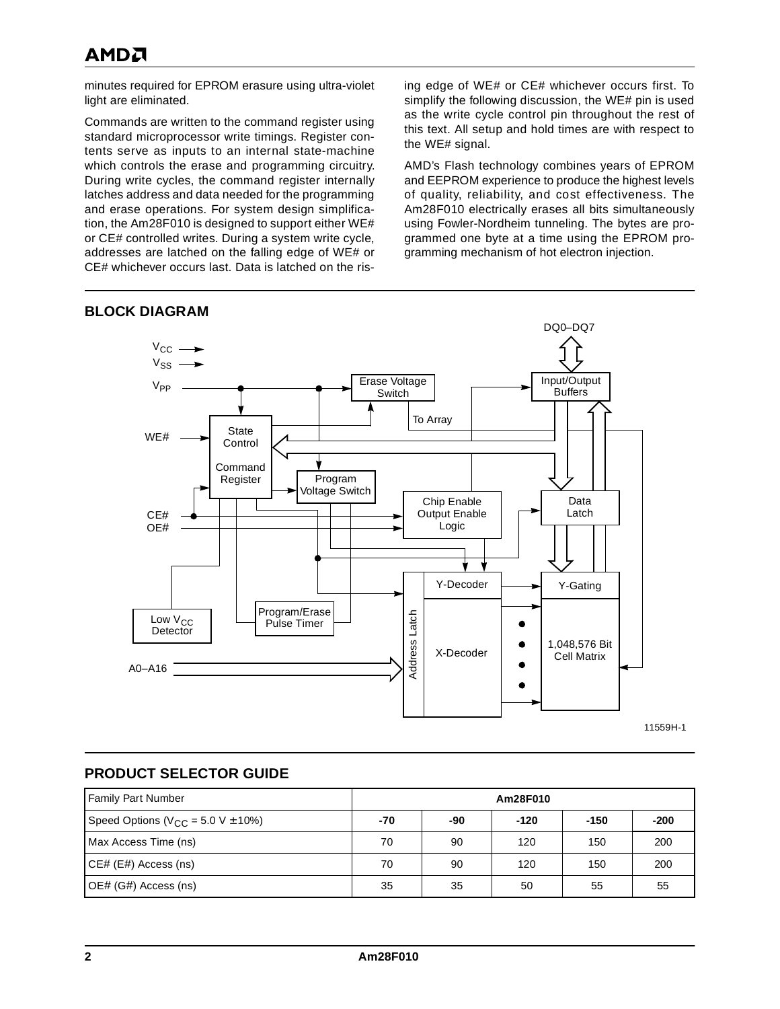minutes required for EPROM erasure using ultra-violet light are eliminated.

Commands are written to the command register using standard microprocessor write timings. Register contents serve as inputs to an internal state-machine which controls the erase and programming circuitry. During write cycles, the command register internally latches address and data needed for the programming and erase operations. For system design simplification, the Am28F010 is designed to support either WE# or CE# controlled writes. During a system write cycle, addresses are latched on the falling edge of WE# or CE# whichever occurs last. Data is latched on the rising edge of WE# or CE# whichever occurs first. To simplify the following discussion, the WE# pin is used as the write cycle control pin throughout the rest of this text. All setup and hold times are with respect to the WE# signal.

AMD's Flash technology combines years of EPROM and EEPROM experience to produce the highest levels of quality, reliability, and cost effectiveness. The Am28F010 electrically erases all bits simultaneously using Fowler-Nordheim tunneling. The bytes are programmed one byte at a time using the EPROM programming mechanism of hot electron injection.



## **BLOCK DIAGRAM**

## **PRODUCT SELECTOR GUIDE**

| <b>Family Part Number</b>                   | Am28F010 |     |        |        |        |
|---------------------------------------------|----------|-----|--------|--------|--------|
| Speed Options ( $V_{CC}$ = 5.0 V $\pm$ 10%) | -70      | -90 | $-120$ | $-150$ | $-200$ |
| Max Access Time (ns)                        | 70       | 90  | 120    | 150    | 200    |
| $C E# (E#)$ Access (ns)                     | 70       | 90  | 120    | 150    | 200    |
| $OE# (G#)$ Access (ns)                      | 35       | 35  | 50     | 55     | 55     |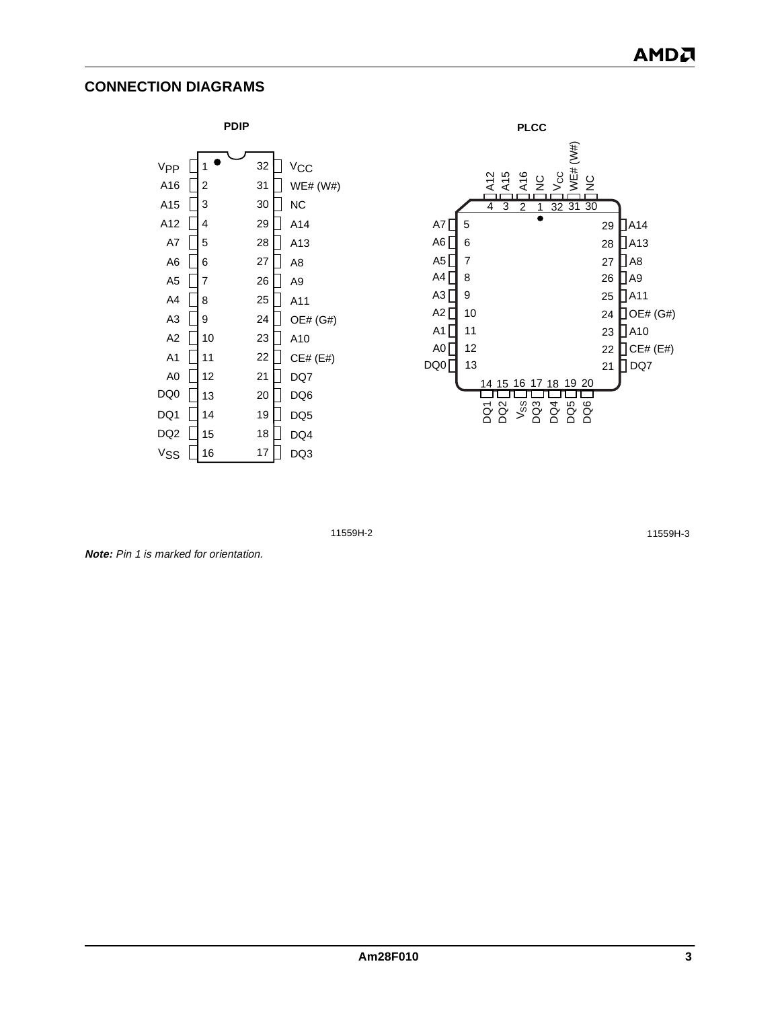#### **CONNECTION DIAGRAMS**





11559H-2

**Note:** Pin 1 is marked for orientation.

11559H-3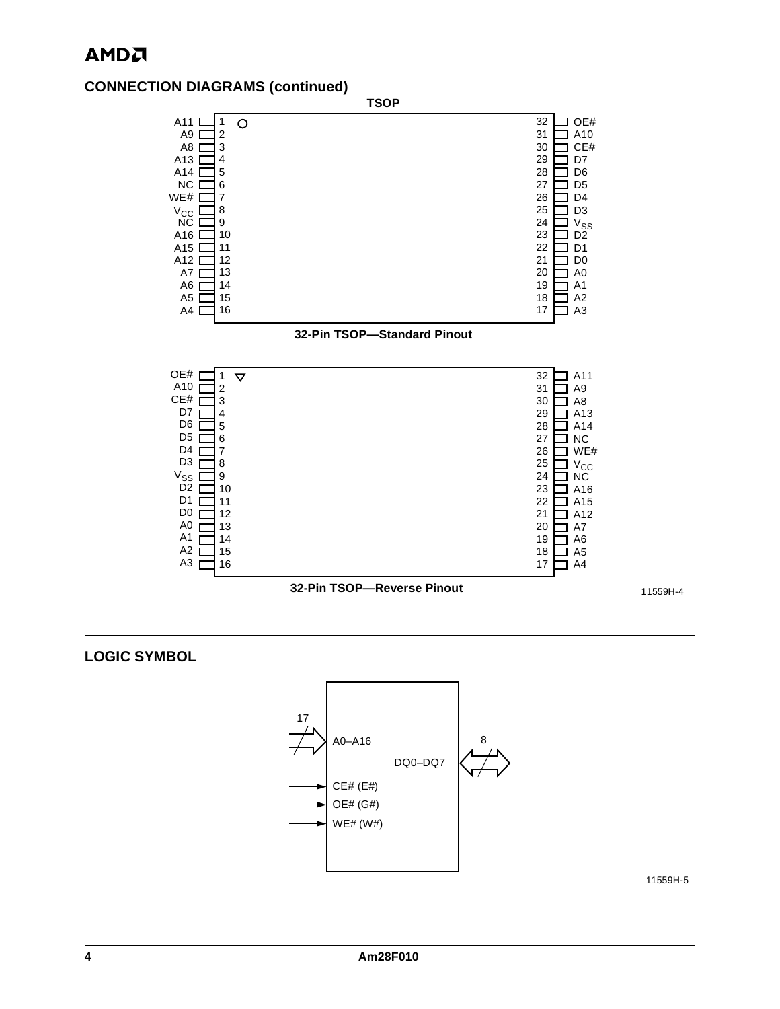#### **CONNECTION DIAGRAMS (continued)**







**LOGIC SYMBOL**



11559H-5

11559H-4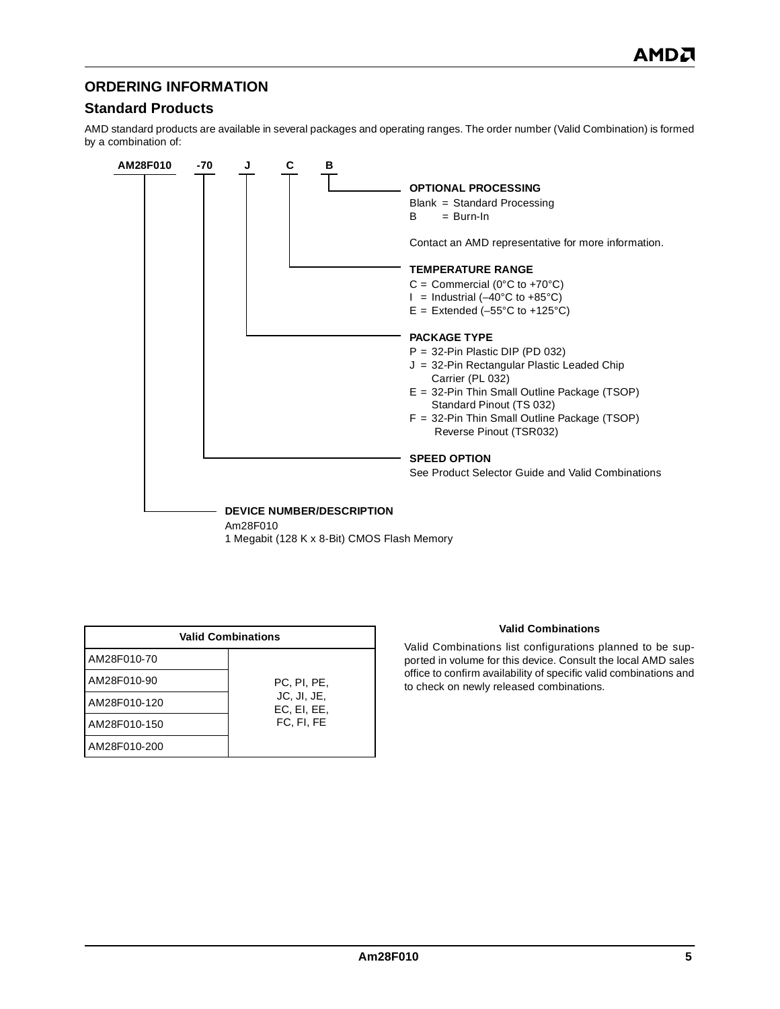#### **ORDERING INFORMATION**

#### **Standard Products**

AMD standard products are available in several packages and operating ranges. The order number (Valid Combination) is formed by a combination of:



| <b>Valid Combinations</b> |                            |  |  |  |
|---------------------------|----------------------------|--|--|--|
| AM28F010-70               |                            |  |  |  |
| AM28F010-90               | PC, PI, PE,                |  |  |  |
| AM28F010-120              | JC, JI, JE,<br>EC, EI, EE, |  |  |  |
| AM28F010-150              | FC, FI, FE                 |  |  |  |
| AM28F010-200              |                            |  |  |  |

#### **Valid Combinations**

Valid Combinations list configurations planned to be supported in volume for this device. Consult the local AMD sales office to confirm availability of specific valid combinations and to check on newly released combinations.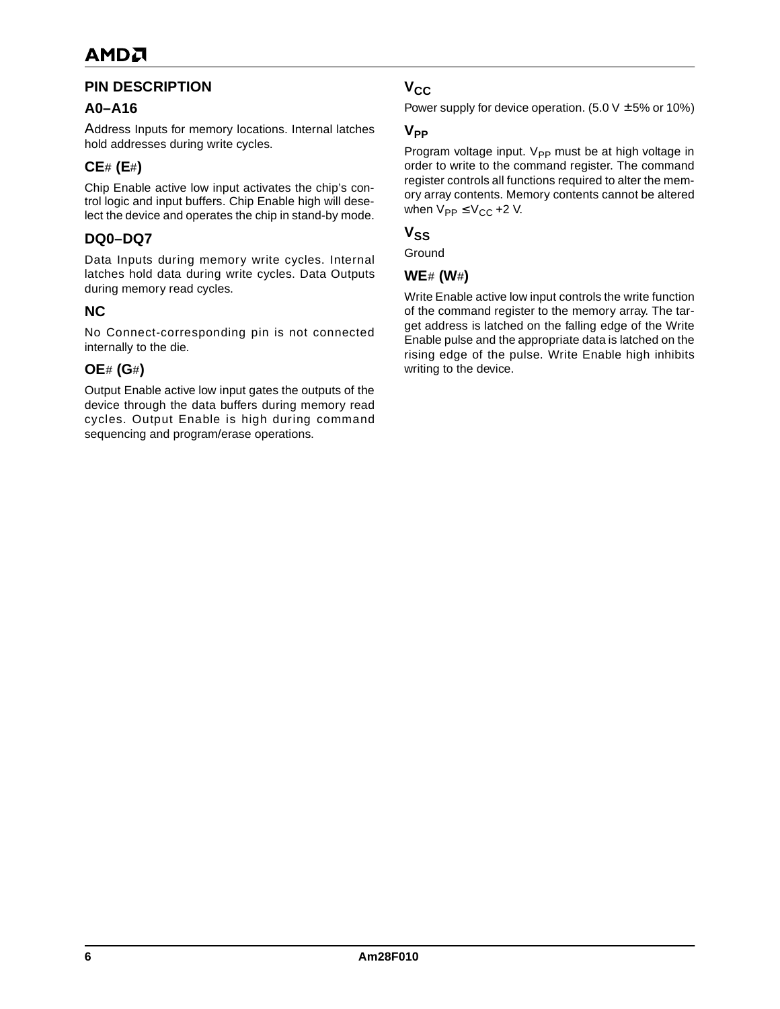## **PIN DESCRIPTION**

## **A0–A16**

Address Inputs for memory locations. Internal latches hold addresses during write cycles.

## **CE**# **(E**#**)**

Chip Enable active low input activates the chip's control logic and input buffers. Chip Enable high will deselect the device and operates the chip in stand-by mode.

## **DQ0–DQ7**

Data Inputs during memory write cycles. Internal latches hold data during write cycles. Data Outputs during memory read cycles.

#### **NC**

No Connect-corresponding pin is not connected internally to the die.

## **OE**# **(G**#**)**

Output Enable active low input gates the outputs of the device through the data buffers during memory read cycles. Output Enable is high during command sequencing and program/erase operations.

## $V_{C}$

Power supply for device operation.  $(5.0 V \pm 5\% \text{ or } 10\%)$ 

#### **V**<sub>PP</sub>

Program voltage input.  $V_{PP}$  must be at high voltage in order to write to the command register. The command register controls all functions required to alter the memory array contents. Memory contents cannot be altered when  $V_{PP} \leq V_{CC} + 2 V$ .

#### $V_{SS}$

Ground

## **WE**# **(W**#**)**

Write Enable active low input controls the write function of the command register to the memory array. The target address is latched on the falling edge of the Write Enable pulse and the appropriate data is latched on the rising edge of the pulse. Write Enable high inhibits writing to the device.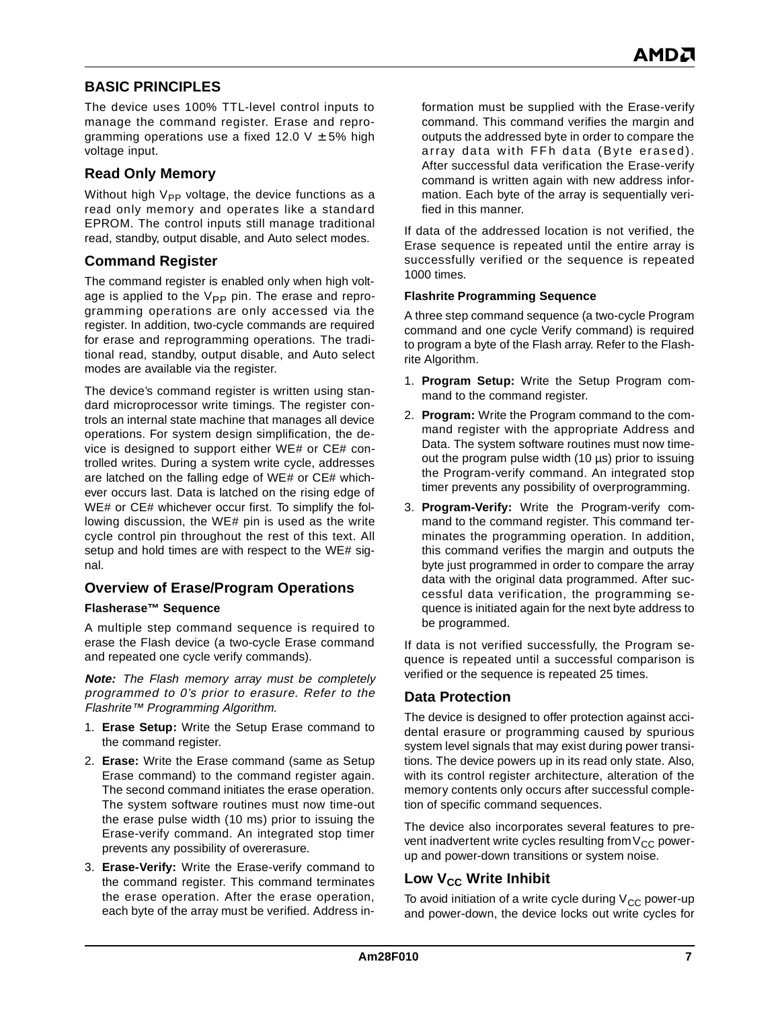## **BASIC PRINCIPLES**

The device uses 100% TTL-level control inputs to manage the command register. Erase and reprogramming operations use a fixed 12.0 V  $\pm$  5% high voltage input.

#### **Read Only Memory**

Without high  $V_{PP}$  voltage, the device functions as a read only memory and operates like a standard EPROM. The control inputs still manage traditional read, standby, output disable, and Auto select modes.

#### **Command Register**

The command register is enabled only when high voltage is applied to the  $V_{PP}$  pin. The erase and reprogramming operations are only accessed via the register. In addition, two-cycle commands are required for erase and reprogramming operations. The traditional read, standby, output disable, and Auto select modes are available via the register.

The device's command register is written using standard microprocessor write timings. The register controls an internal state machine that manages all device operations. For system design simplification, the device is designed to support either WE# or CE# controlled writes. During a system write cycle, addresses are latched on the falling edge of WE# or CE# whichever occurs last. Data is latched on the rising edge of WE# or CE# whichever occur first. To simplify the following discussion, the WE# pin is used as the write cycle control pin throughout the rest of this text. All setup and hold times are with respect to the WE# signal.

#### **Overview of Erase/Program Operations**

#### **Flasherase™ Sequence**

A multiple step command sequence is required to erase the Flash device (a two-cycle Erase command and repeated one cycle verify commands).

**Note:** The Flash memory array must be completely programmed to 0's prior to erasure. Refer to the Flashrite™ Programming Algorithm.

- 1. **Erase Setup:** Write the Setup Erase command to the command register.
- 2. **Erase:** Write the Erase command (same as Setup Erase command) to the command register again. The second command initiates the erase operation. The system software routines must now time-out the erase pulse width (10 ms) prior to issuing the Erase-verify command. An integrated stop timer prevents any possibility of overerasure.
- 3. **Erase-Verify:** Write the Erase-verify command to the command register. This command terminates the erase operation. After the erase operation, each byte of the array must be verified. Address in-

formation must be supplied with the Erase-verify command. This command verifies the margin and outputs the addressed byte in order to compare the array data with FFh data (Byte erased). After successful data verification the Erase-verify command is written again with new address information. Each byte of the array is sequentially verified in this manner.

If data of the addressed location is not verified, the Erase sequence is repeated until the entire array is successfully verified or the sequence is repeated 1000 times.

#### **Flashrite Programming Sequence**

A three step command sequence (a two-cycle Program command and one cycle Verify command) is required to program a byte of the Flash array. Refer to the Flashrite Algorithm.

- 1. **Program Setup:** Write the Setup Program command to the command register.
- 2. **Program:** Write the Program command to the command register with the appropriate Address and Data. The system software routines must now timeout the program pulse width (10 µs) prior to issuing the Program-verify command. An integrated stop timer prevents any possibility of overprogramming.
- 3. **Program-Verify:** Write the Program-verify command to the command register. This command terminates the programming operation. In addition, this command verifies the margin and outputs the byte just programmed in order to compare the array data with the original data programmed. After successful data verification, the programming sequence is initiated again for the next byte address to be programmed.

If data is not verified successfully, the Program sequence is repeated until a successful comparison is verified or the sequence is repeated 25 times.

#### **Data Protection**

The device is designed to offer protection against accidental erasure or programming caused by spurious system level signals that may exist during power transitions. The device powers up in its read only state. Also, with its control register architecture, alteration of the memory contents only occurs after successful completion of specific command sequences.

The device also incorporates several features to prevent inadvertent write cycles resulting from  $V_{CC}$  powerup and power-down transitions or system noise.

#### **Low V<sub>CC</sub> Write Inhibit**

To avoid initiation of a write cycle during  $V_{CC}$  power-up and power-down, the device locks out write cycles for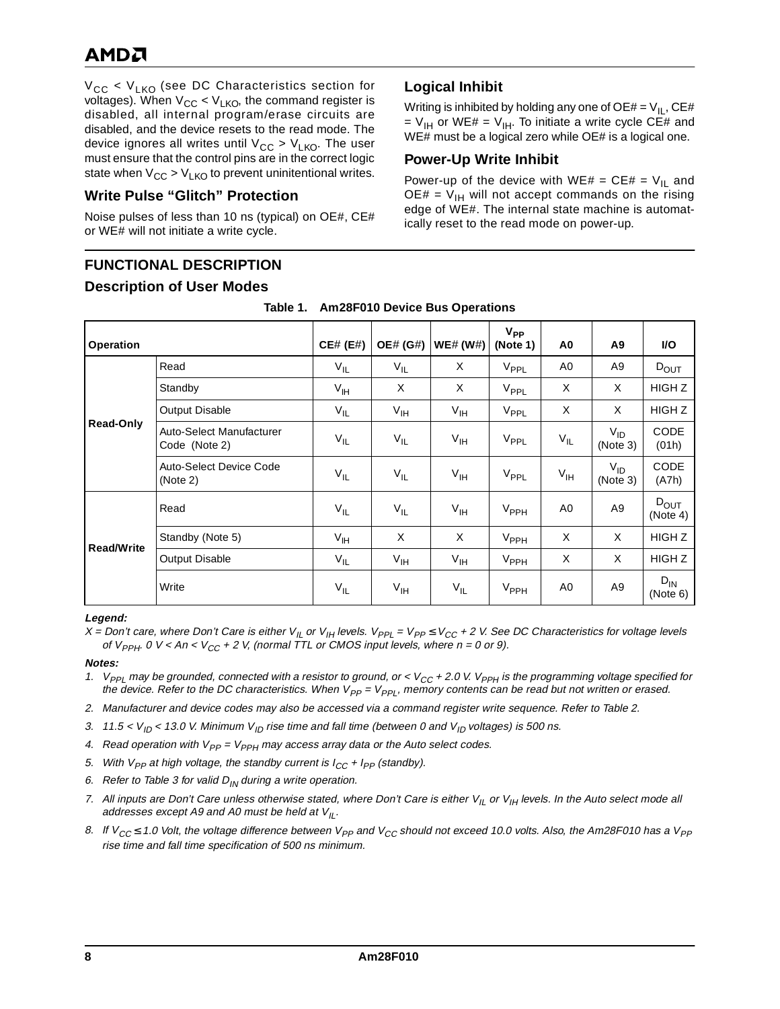<span id="page-7-0"></span> $V_{CC}$  <  $V_{LKO}$  (see DC Characteristics section for voltages). When  $V_{CC}$  <  $V_{LKO}$ , the command register is disabled, all internal program/erase circuits are disabled, and the device resets to the read mode. The device ignores all writes until  $V_{CC} > V_{LKO}$ . The user must ensure that the control pins are in the correct logic state when  $V_{CC} > V_{LKO}$  to prevent uninitentional writes.

#### **Write Pulse "Glitch" Protection**

Noise pulses of less than 10 ns (typical) on OE#, CE# or WE# will not initiate a write cycle.

## **FUNCTIONAL DESCRIPTION**

#### **Description of User Modes**

#### **Logical Inhibit**

Writing is inhibited by holding any one of  $OE# = V_{II}$ , CE#  $= V_{IH}$  or WE# = V<sub>IH</sub>. To initiate a write cycle CE# and WE# must be a logical zero while OE# is a logical one.

#### **Power-Up Write Inhibit**

Power-up of the device with WE# =  $CE# = V_{IL}$  and  $OE# = V<sub>IH</sub>$  will not accept commands on the rising edge of WE#. The internal state machine is automatically reset to the read mode on power-up.

| Operation         |                                           | <b>CE# (E#)</b> | <b>OE#</b> (G#) | WE# (W#)        | $V_{PP}$<br>(Note 1) | A0             | A9                   | I/O                          |
|-------------------|-------------------------------------------|-----------------|-----------------|-----------------|----------------------|----------------|----------------------|------------------------------|
|                   | Read                                      | $V_{IL}$        | $V_{IL}$        | X               | V <sub>PPL</sub>     | A0             | A9                   | $D_{\text{OUT}}$             |
|                   | Standby                                   | $V_{\text{IH}}$ | X               | X               | $V_{PPL}$            | X              | X                    | HIGH <sub>Z</sub>            |
|                   | <b>Output Disable</b>                     | $V_{IL}$        | $V_{\text{IH}}$ | $V_{\text{IH}}$ | V <sub>PPL</sub>     | X              | X                    | HIGH <sub>Z</sub>            |
| <b>Read-Only</b>  | Auto-Select Manufacturer<br>Code (Note 2) | $V_{IL}$        | $V_{IL}$        | $V_{IH}$        | V <sub>PPL</sub>     | $V_{IL}$       | $V_{ID}$<br>(Note 3) | CODE<br>(01h)                |
|                   | Auto-Select Device Code<br>(Note 2)       | $V_{IL}$        | $V_{IL}$        | $V_{IH}$        | V <sub>PPL</sub>     | $V_{IH}$       | $V_{ID}$<br>(Note 3) | CODE<br>(A7h)                |
| <b>Read/Write</b> | Read                                      | $V_{IL}$        | $V_{IL}$        | $V_{IH}$        | $V_{PPH}$            | A <sub>0</sub> | A <sub>9</sub>       | $D_{\text{OUT}}$<br>(Note 4) |
|                   | Standby (Note 5)                          | $V_{\text{IH}}$ | X               | X               | $V_{PPH}$            | X              | X                    | <b>HIGHZ</b>                 |
|                   | <b>Output Disable</b>                     | $V_{IL}$        | $V_{\text{IH}}$ | $V_{\text{IH}}$ | $V_{PPH}$            | X              | X                    | HIGH <sub>Z</sub>            |
|                   | Write                                     | $V_{IL}$        | $V_{\text{IH}}$ | $V_{IL}$        | $V_{PPH}$            | A <sub>0</sub> | A9                   | $D_{IN}$<br>(Note 6)         |

#### **Table 1. Am28F010 Device Bus Operations**

#### **Legend:**

X = Don't care, where Don't Care is either V<sub>IL</sub> or V<sub>IH</sub> levels. V<sub>PPL</sub> = V<sub>PP</sub>  $\leq$  V<sub>CC</sub> + 2 V. See DC Characteristics for voltage levels of  $V_{PPH}$ . 0 V < An <  $V_{CC}$  + 2 V, (normal TTL or CMOS input levels, where  $n = 0$  or 9).

#### **Notes:**

- 1. V<sub>PPL</sub> may be grounded, connected with a resistor to ground, or < V<sub>CC</sub> + 2.0 V. V<sub>PPH</sub> is the programming voltage specified for the device. Refer to the DC characteristics. When  $V_{PP}$  =  $V_{PP}$ , memory contents can be read but not written or erased.
- 2. Manufacturer and device codes may also be accessed via a command register write sequence. Refer to Tabl[e](#page-8-0) 2.
- 3. 11.5 <  $V_{ID}$  < 13.0 V. Minimum  $V_{ID}$  rise time and fall time (between 0 and  $V_{ID}$  voltages) is 500 ns.
- 4. Read operation with  $V_{PP} = V_{PPH}$  may access array data or the Auto select codes.
- 5. With  $V_{PP}$  at high voltage, the standby current is  $I_{CC} + I_{PP}$  (standby).
- 6. Refer to Table [3](#page-9-0) for valid  $D_{IN}$  during a write operation.
- 7. All inputs are Don't Care unless otherwise stated, where Don't Care is either  $V_{II}$  or  $V_{II}$  levels. In the Auto select mode all addresses except A9 and A0 must be held at  $V_{II}$ .
- 8. If  $V_{CC} \le 1.0$  Volt, the voltage difference between  $V_{PP}$  and  $V_{CC}$  should not exceed 10.0 volts. Also, the Am28F010 has a  $V_{PP}$ rise time and fall time specification of 500 ns minimum.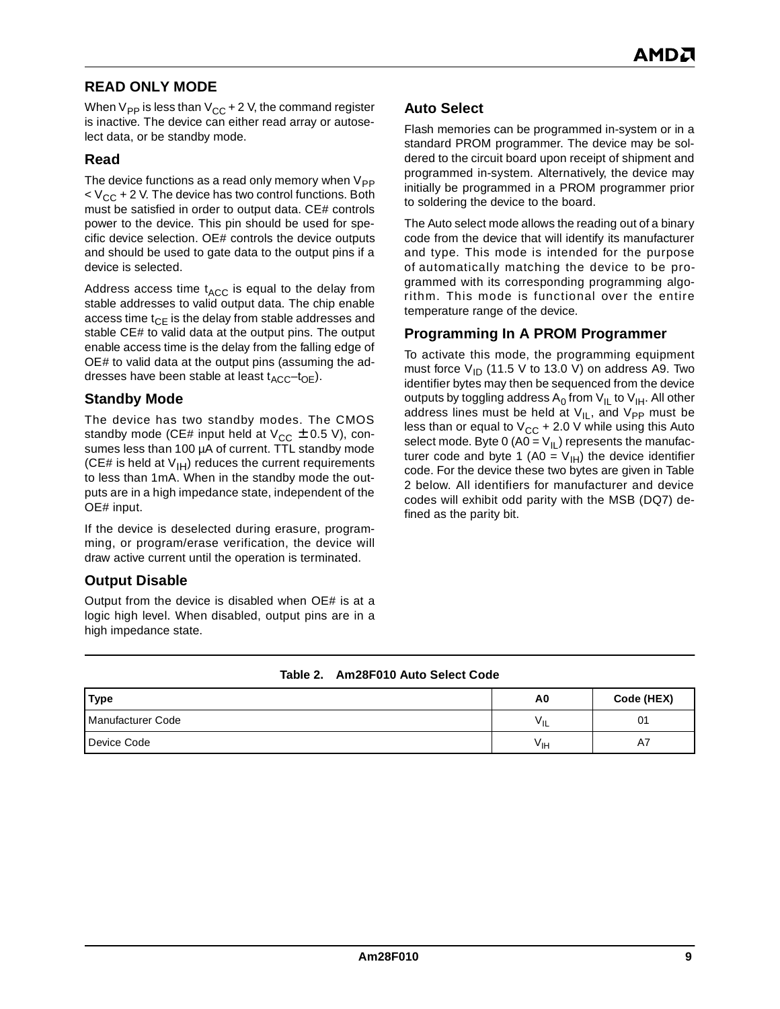## <span id="page-8-0"></span>**READ ONLY MODE**

When  $V_{PP}$  is less than  $V_{CC}$  + 2 V, the command register is inactive. The device can either read array or autoselect data, or be standby mode.

#### **Read**

The device functions as a read only memory when  $V_{PP}$  $V_{\rm CC}$  + 2 V. The device has two control functions. Both must be satisfied in order to output data. CE# controls power to the device. This pin should be used for specific device selection. OE# controls the device outputs and should be used to gate data to the output pins if a device is selected.

Address access time  $t_{\text{ACC}}$  is equal to the delay from stable addresses to valid output data. The chip enable access time  $t_{CF}$  is the delay from stable addresses and stable CE# to valid data at the output pins. The output enable access time is the delay from the falling edge of OE# to valid data at the output pins (assuming the addresses have been stable at least  $t_{\text{ACC}}-t_{\text{OE}}$ ).

#### **Standby Mode**

The device has two standby modes. The CMOS standby mode (CE# input held at  $V_{CC} \pm 0.5$  V), consumes less than 100 µA of current. TTL standby mode (CE# is held at  $V_{H}$ ) reduces the current requirements to less than 1mA. When in the standby mode the outputs are in a high impedance state, independent of the OE# input.

If the device is deselected during erasure, programming, or program/erase verification, the device will draw active current until the operation is terminated.

#### **Output Disable**

Output from the device is disabled when OE# is at a logic high level. When disabled, output pins are in a high impedance state.

#### **Auto Select**

Flash memories can be programmed in-system or in a standard PROM programmer. The device may be soldered to the circuit board upon receipt of shipment and programmed in-system. Alternatively, the device may initially be programmed in a PROM programmer prior to soldering the device to the board.

The Auto select mode allows the reading out of a binary code from the device that will identify its manufacturer and type. This mode is intended for the purpose of automatically matching the device to be programmed with its corresponding programming algorithm. This mode is functional over the entire temperature range of the device.

#### **Programming In A PROM Programmer**

To activate this mode, the programming equipment must force  $V_{ID}$  (11.5 V to 13.0 V) on address A9. Two identifier bytes may then be sequenced from the device outputs by toggling address  $A_0$  from  $V_{II}$  to  $V_{IH}$ . All other address lines must be held at  $V_{IL}$ , and  $V_{PP}$  must be less than or equal to  $V_{CC}$  + 2.0 V while using this Auto select mode. Byte 0 (A0 =  $V_{|L}$ ) represents the manufacturer code and byte 1 (A0 =  $V_{\text{IH}}$ ) the device identifier code. For the device these two bytes are given in Table 2 below. All identifiers for manufacturer and device codes will exhibit odd parity with the MSB (DQ7) defined as the parity bit.

| Table 2. Am28F010 Auto Select Code |  |  |
|------------------------------------|--|--|
|                                    |  |  |

| Type              | A0              | Code (HEX) |
|-------------------|-----------------|------------|
| Manufacturer Code | $v_{\parallel}$ | 01         |
| Device Code       | ۷ін             | A7         |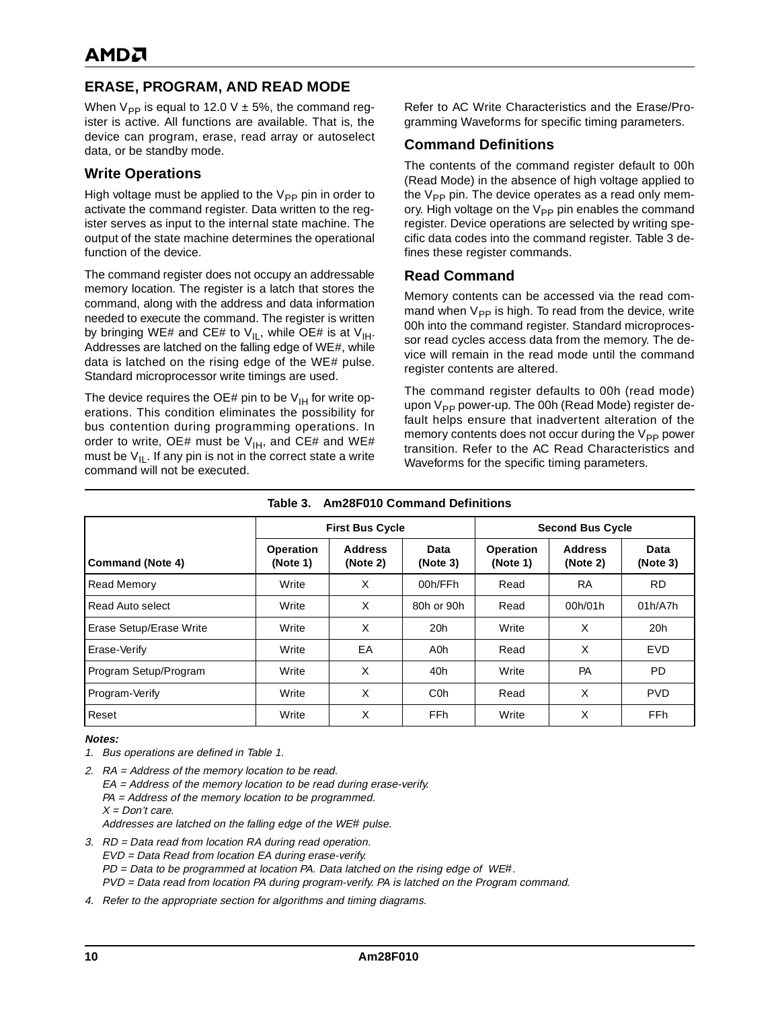## <span id="page-9-0"></span>**ERASE, PROGRAM, AND READ MODE**

When  $V_{PP}$  is equal to 12.0 V  $\pm$  5%, the command register is active. All functions are available. That is, the device can program, erase, read array or autoselect data, or be standby mode.

#### **Write Operations**

High voltage must be applied to the  $V_{PP}$  pin in order to activate the command register. Data written to the register serves as input to the internal state machine. The output of the state machine determines the operational function of the device.

The command register does not occupy an addressable memory location. The register is a latch that stores the command, along with the address and data information needed to execute the command. The register is written by bringing WE# and CE# to  $V_{II}$ , while OE# is at  $V_{II}$ . Addresses are latched on the falling edge of WE#, while data is latched on the rising edge of the WE# pulse. Standard microprocessor write timings are used.

The device requires the OE# pin to be  $V_{IH}$  for write operations. This condition eliminates the possibility for bus contention during programming operations. In order to write, OE# must be  $V_{\text{IH}}$ , and CE# and WE# must be  $V_{II}$ . If any pin is not in the correct state a write command will not be executed.

Refer to AC Write Characteristics and the Erase/Programming Waveforms for specific timing parameters.

#### **Command Definitions**

The contents of the command register default to 00h (Read Mode) in the absence of high voltage applied to the  $V_{PP}$  pin. The device operates as a read only memory. High voltage on the  $V_{PP}$  pin enables the command register. Device operations are selected by writing specific data codes into the command register. Table 3 defines these register commands.

## **Read Command**

Memory contents can be accessed via the read command when  $V_{PP}$  is high. To read from the device, write 00h into the command register. Standard microprocessor read cycles access data from the memory. The device will remain in the read mode until the command register contents are altered.

The command register defaults to 00h (read mode) upon  $V_{PP}$  power-up. The 00h (Read Mode) register default helps ensure that inadvertent alteration of the memory contents does not occur during the  $V_{\text{PP}}$  power transition. Refer to the AC Read Characteristics and Waveforms for the specific timing parameters.

|                                | <b>First Bus Cycle</b> |                            |                         | <b>Second Bus Cycle</b> |                            |                  |  |
|--------------------------------|------------------------|----------------------------|-------------------------|-------------------------|----------------------------|------------------|--|
| Command (Note 4)               | Operation<br>(Note 1)  | <b>Address</b><br>(Note 2) | <b>Data</b><br>(Note 3) | Operation<br>(Note 1)   | <b>Address</b><br>(Note 2) | Data<br>(Note 3) |  |
| <b>Read Memory</b>             | Write                  | X                          | 00h/FFh                 | Read                    | RA                         | <b>RD</b>        |  |
| Read Auto select               | Write                  | X                          | 80h or 90h              | Read                    | 00h/01h                    | 01h/ATh          |  |
| <b>Erase Setup/Erase Write</b> | Write                  | X                          | 20h                     | Write                   | X                          | 20h              |  |
| Erase-Verify                   | Write                  | EA                         | A0h                     | Read                    | X                          | <b>EVD</b>       |  |
| Program Setup/Program          | Write                  | X                          | 40h                     | Write                   | <b>PA</b>                  | <b>PD</b>        |  |
| Program-Verify                 | Write                  | X                          | C <sub>0</sub> h        | Read                    | X                          | <b>PVD</b>       |  |
| Reset                          | Write                  | X                          | FFh                     | Write                   | X                          | FF <sub>h</sub>  |  |

#### **Table 3. Am28F010 Command Definitions**

#### **Notes:**

1. Bus operations are defined in Tabl[e 1](#page-7-0).

- 2. RA = Address of the memory location to be read.
	- EA = Address of the memory location to be read during erase-verify.
	- PA = Address of the memory location to be programmed.
	- $X = Don't care.$

Addresses are latched on the falling edge of the WE# pulse.

- 3. RD = Data read from location RA during read operation. EVD = Data Read from location EA during erase-verify. PD = Data to be programmed at location PA. Data latched on the rising edge of WE#. PVD = Data read from location PA during program-verify. PA is latched on the Program command.
- 4. Refer to the appropriate section for algorithms and timing diagrams.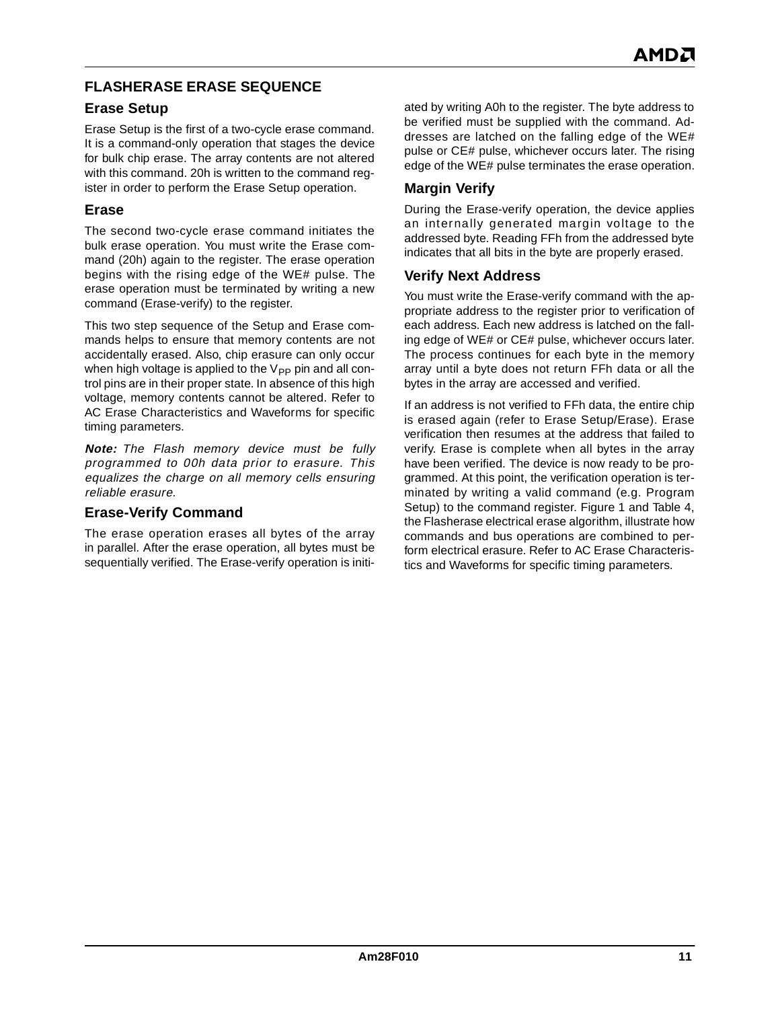## **FLASHERASE ERASE SEQUENCE**

## **Erase Setup**

Erase Setup is the first of a two-cycle erase command. It is a command-only operation that stages the device for bulk chip erase. The array contents are not altered with this command. 20h is written to the command register in order to perform the Erase Setup operation.

#### **Erase**

The second two-cycle erase command initiates the bulk erase operation. You must write the Erase command (20h) again to the register. The erase operation begins with the rising edge of the WE# pulse. The erase operation must be terminated by writing a new command (Erase-verify) to the register.

This two step sequence of the Setup and Erase commands helps to ensure that memory contents are not accidentally erased. Also, chip erasure can only occur when high voltage is applied to the  $V_{\text{PP}}$  pin and all control pins are in their proper state. In absence of this high voltage, memory contents cannot be altered. Refer to AC Erase Characteristics and Waveforms for specific timing parameters.

**Note:** The Flash memory device must be fully programmed to 00h data prior to erasure. This equalizes the charge on all memory cells ensuring reliable erasure.

#### **Erase-Verify Command**

The erase operation erases all bytes of the array in parallel. After the erase operation, all bytes must be sequentially verified. The Erase-verify operation is initiated by writing A0h to the register. The byte address to be verified must be supplied with the command. Addresses are latched on the falling edge of the WE# pulse or CE# pulse, whichever occurs later. The rising edge of the WE# pulse terminates the erase operation.

## **Margin Verify**

During the Erase-verify operation, the device applies an internally generated margin voltage to the addressed byte. Reading FFh from the addressed byte indicates that all bits in the byte are properly erased.

#### **Verify Next Address**

You must write the Erase-verify command with the appropriate address to the register prior to verification of each address. Each new address is latched on the falling edge of WE# or CE# pulse, whichever occurs later. The process continues for each byte in the memory array until a byte does not return FFh data or all the bytes in the array are accessed and verified.

If an address is not verified to FFh data, the entire chip is erased again (refer to Erase Setup/Erase). Erase verification then resumes at the address that failed to verify. Erase is complete when all bytes in the array have been verified. The device is now ready to be programmed. At this point, the verification operation is terminated by writing a valid command (e.g. Program Setup) to the command register. Figure [1](#page-12-0) and Table [4,](#page-11-0) the Flasherase electrical erase algorithm, illustrate how commands and bus operations are combined to perform electrical erasure. Refer to AC Erase Characteristics and Waveforms for specific timing parameters.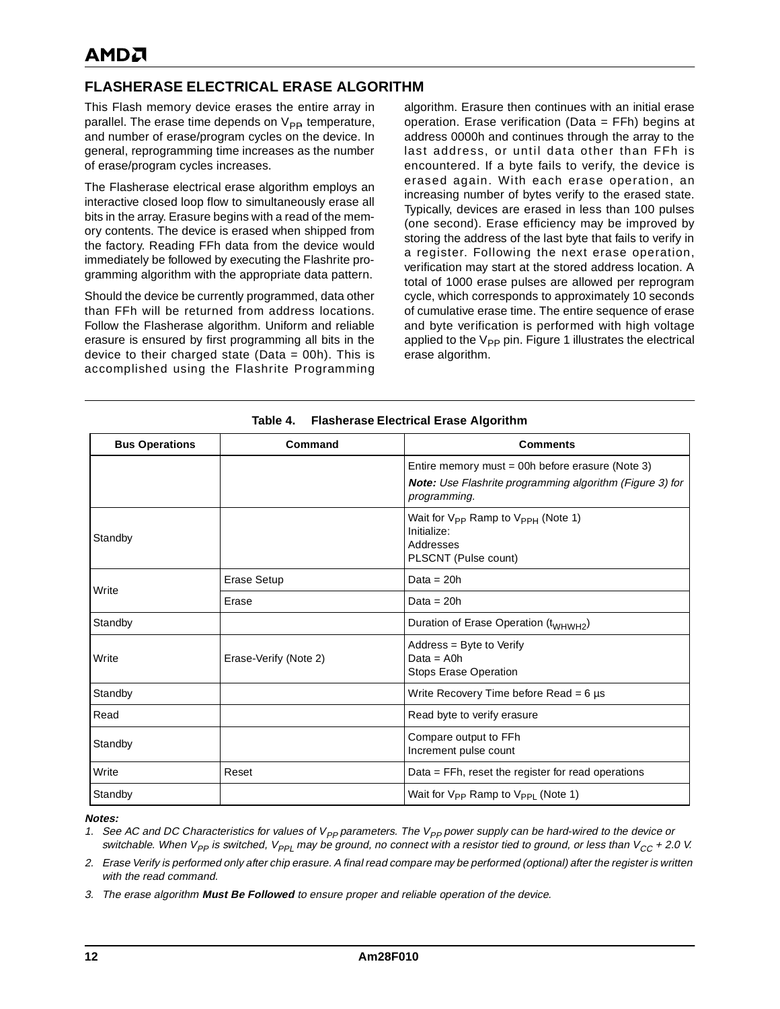## <span id="page-11-0"></span>**FLASHERASE ELECTRICAL ERASE ALGORITHM**

This Flash memory device erases the entire array in parallel. The erase time depends on  $V_{\text{PB}}$  temperature, and number of erase/program cycles on the device. In general, reprogramming time increases as the number of erase/program cycles increases.

The Flasherase electrical erase algorithm employs an interactive closed loop flow to simultaneously erase all bits in the array. Erasure begins with a read of the memory contents. The device is erased when shipped from the factory. Reading FFh data from the device would immediately be followed by executing the Flashrite programming algorithm with the appropriate data pattern.

Should the device be currently programmed, data other than FFh will be returned from address locations. Follow the Flasherase algorithm. Uniform and reliable erasure is ensured by first programming all bits in the device to their charged state (Data  $=$  00h). This is accomplished using the Flashrite Programming algorithm. Erasure then continues with an initial erase operation. Erase verification (Data = FFh) begins at address 0000h and continues through the array to the last address, or until data other than FFh is encountered. If a byte fails to verify, the device is erased again. With each erase operation, an increasing number of bytes verify to the erased state. Typically, devices are erased in less than 100 pulses (one second). Erase efficiency may be improved by storing the address of the last byte that fails to verify in a register. Following the next erase operation, verification may start at the stored address location. A total of 1000 erase pulses are allowed per reprogram cycle, which corresponds to approximately 10 seconds of cumulative erase time. The entire sequence of erase and byte verification is performed with high voltage applied to the  $V_{PP}$  pin. Figure [1](#page-12-0) illustrates the electrical erase algorithm.

| <b>Bus Operations</b> | Command               | <b>Comments</b>                                                                                                                     |
|-----------------------|-----------------------|-------------------------------------------------------------------------------------------------------------------------------------|
|                       |                       | Entire memory must = 00h before erasure (Note 3)<br><b>Note:</b> Use Flashrite programming algorithm (Figure 3) for<br>programming. |
| Standby               |                       | Wait for $V_{PP}$ Ramp to $V_{PPH}$ (Note 1)<br>Initialize:<br>Addresses<br>PLSCNT (Pulse count)                                    |
| Write                 | Erase Setup           | Data = $20h$                                                                                                                        |
|                       | Erase                 | Data = $20h$                                                                                                                        |
| Standby               |                       | Duration of Erase Operation (t <sub>WHWH2</sub> )                                                                                   |
| Write                 | Erase-Verify (Note 2) | Address = Byte to Verify<br>Data = $A0h$<br><b>Stops Erase Operation</b>                                                            |
| Standby               |                       | Write Recovery Time before Read = $6 \mu s$                                                                                         |
| Read                  |                       | Read byte to verify erasure                                                                                                         |
| Standby               |                       | Compare output to FFh<br>Increment pulse count                                                                                      |
| Write                 | Reset                 | Data = FFh, reset the register for read operations                                                                                  |
| Standby               |                       | Wait for $V_{PP}$ Ramp to $V_{PP1}$ (Note 1)                                                                                        |

#### **Table 4. Flasherase Electrical Erase Algorithm**

#### **Notes:**

1. See AC and DC Characteristics for values of  $V_{PP}$  parameters. The  $V_{PP}$  power supply can be hard-wired to the device or switchable. When V<sub>PP</sub> is switched, V<sub>PPL</sub> may be ground, no connect with a resistor tied to ground, or less than V<sub>CC</sub> + 2.0 V.

2. Erase Verify is performed only after chip erasure. A final read compare may be performed (optional) after the register is written with the read command.

3. The erase algorithm **Must Be Followed** to ensure proper and reliable operation of the device.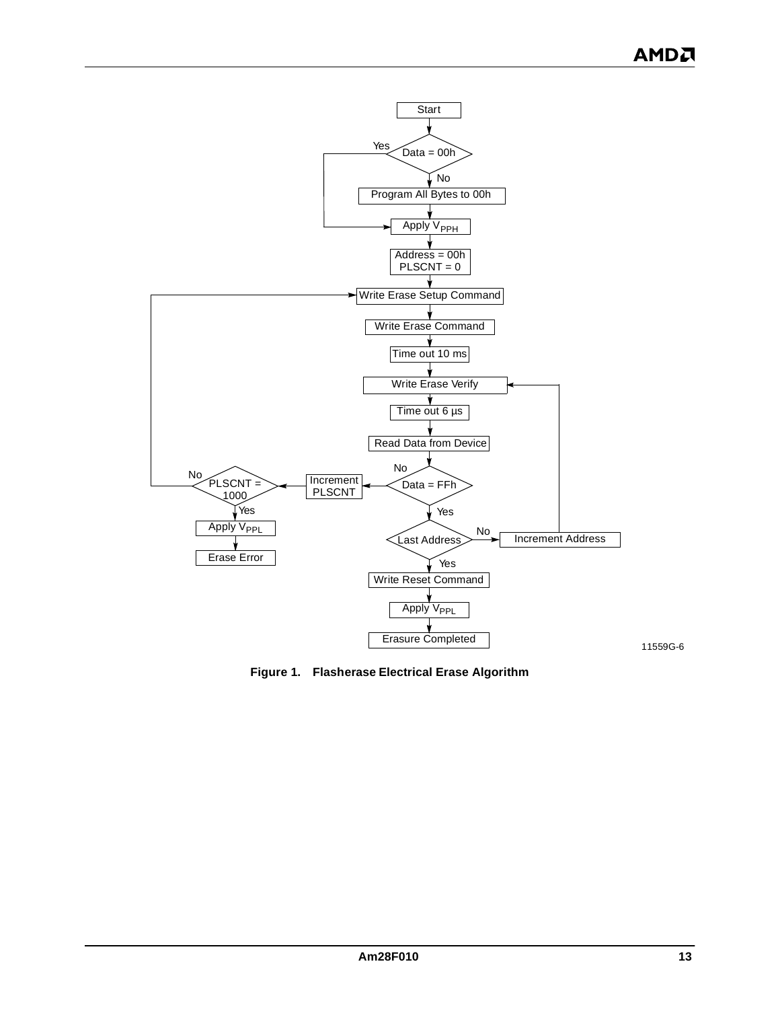<span id="page-12-0"></span>

**Figure 1. Flasherase Electrical Erase Algorithm**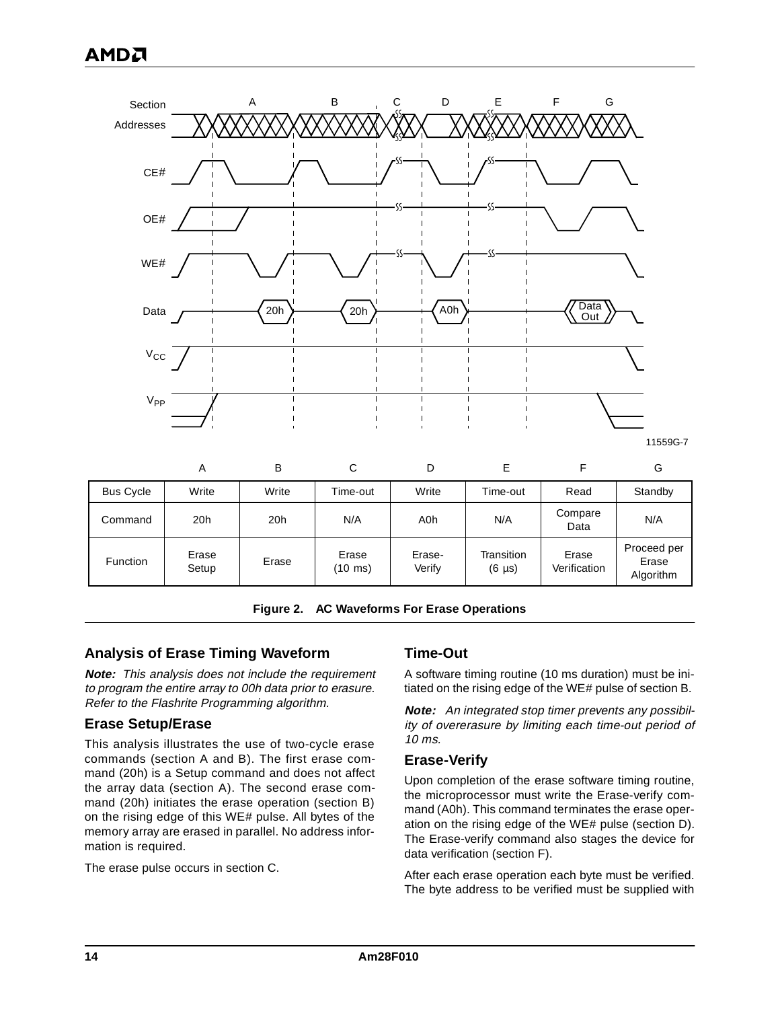



#### **Analysis of Erase Timing Waveform**

**Note:** This analysis does not include the requirement to program the entire array to 00h data prior to erasure. Refer to the Flashrite Programming algorithm.

#### **Erase Setup/Erase**

This analysis illustrates the use of two-cycle erase commands (section A and B). The first erase command (20h) is a Setup command and does not affect the array data (section A). The second erase command (20h) initiates the erase operation (section B) on the rising edge of this WE# pulse. All bytes of the memory array are erased in parallel. No address information is required.

The erase pulse occurs in section C.

#### **Time-Out**

A software timing routine (10 ms duration) must be initiated on the rising edge of the WE# pulse of section B.

**Note:** An integrated stop timer prevents any possibility of overerasure by limiting each time-out period of 10 ms.

#### **Erase-Verify**

Upon completion of the erase software timing routine, the microprocessor must write the Erase-verify command (A0h). This command terminates the erase operation on the rising edge of the WE# pulse (section D). The Erase-verify command also stages the device for data verification (section F).

After each erase operation each byte must be verified. The byte address to be verified must be supplied with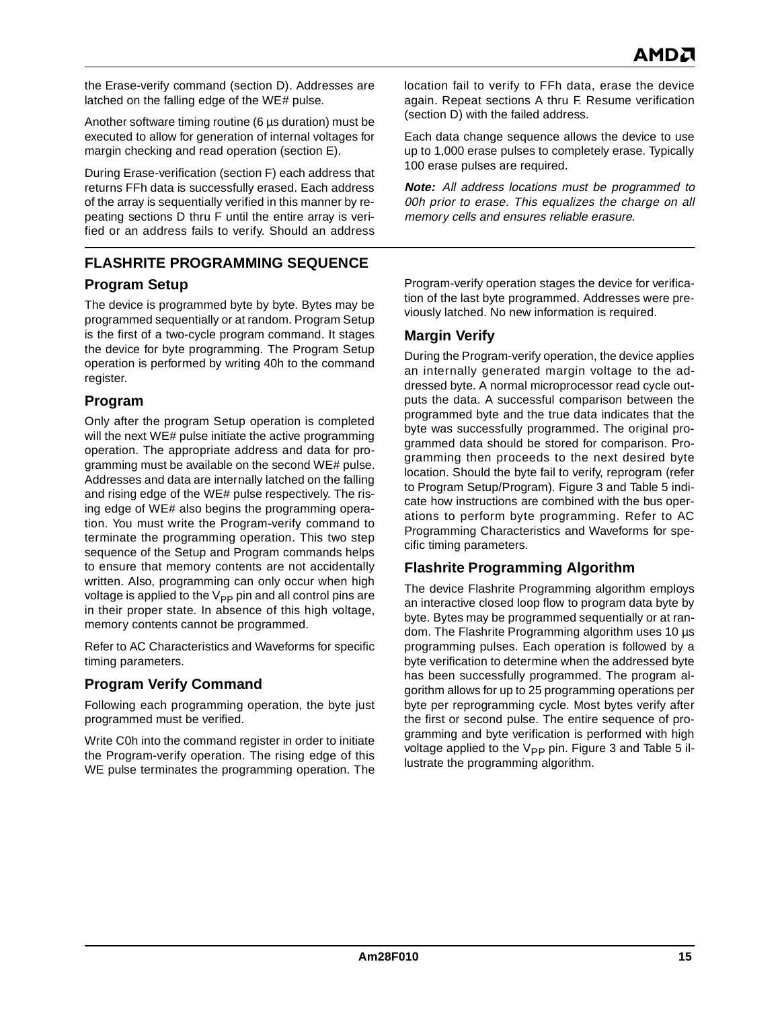the Erase-verify command (section D). Addresses are latched on the falling edge of the WE# pulse.

Another software timing routine (6 µs duration) must be executed to allow for generation of internal voltages for margin checking and read operation (section E).

During Erase-verification (section F) each address that returns FFh data is successfully erased. Each address of the array is sequentially verified in this manner by repeating sections D thru F until the entire array is verified or an address fails to verify. Should an address

## **FLASHRITE PROGRAMMING SEQUENCE**

## **Program Setup**

The device is programmed byte by byte. Bytes may be programmed sequentially or at random. Program Setup is the first of a two-cycle program command. It stages the device for byte programming. The Program Setup operation is performed by writing 40h to the command register.

## **Program**

Only after the program Setup operation is completed will the next WE# pulse initiate the active programming operation. The appropriate address and data for programming must be available on the second WE# pulse. Addresses and data are internally latched on the falling and rising edge of the WE# pulse respectively. The rising edge of WE# also begins the programming operation. You must write the Program-verify command to terminate the programming operation. This two step sequence of the Setup and Program commands helps to ensure that memory contents are not accidentally written. Also, programming can only occur when high voltage is applied to the  $V_{PP}$  pin and all control pins are in their proper state. In absence of this high voltage, memory contents cannot be programmed.

Refer to AC Characteristics and Waveforms for specific timing parameters.

## **Program Verify Command**

Following each programming operation, the byte just programmed must be verified.

Write C0h into the command register in order to initiate the Program-verify operation. The rising edge of this WE pulse terminates the programming operation. The

location fail to verify to FFh data, erase the device again. Repeat sections A thru F. Resume verification (section D) with the failed address.

Each data change sequence allows the device to use up to 1,000 erase pulses to completely erase. Typically 100 erase pulses are required.

**Note:** All address locations must be programmed to 00h prior to erase. This equalizes the charge on all memory cells and ensures reliable erasure.

Program-verify operation stages the device for verification of the last byte programmed. Addresses were previously latched. No new information is required.

## **Margin Verify**

During the Program-verify operation, the device applies an internally generated margin voltage to the addressed byte. A normal microprocessor read cycle outputs the data. A successful comparison between the programmed byte and the true data indicates that the byte was successfully programmed. The original programmed data should be stored for comparison. Programming then proceeds to the next desired byte location. Should the byte fail to verify, reprogram (refer to Program Setup/Program). Figure [3](#page-15-0) and Table [5](#page-16-0) indicate how instructions are combined with the bus operations to perform byte programming. Refer to AC Programming Characteristics and Waveforms for specific timing parameters.

## **Flashrite Programming Algorithm**

The device Flashrite Programming algorithm employs an interactive closed loop flow to program data byte by byte. Bytes may be programmed sequentially or at random. The Flashrite Programming algorithm uses 10 µs programming pulses. Each operation is followed by a byte verification to determine when the addressed byte has been successfully programmed. The program algorithm allows for up to 25 programming operations per byte per reprogramming cycle. Most bytes verify after the first or second pulse. The entire sequence of programming and byte verification is performed with high voltage applied to the V<sub>PP</sub> pin. Figure [3](#page-15-0) and Table [5](#page-16-0) illustrate the programming algorithm.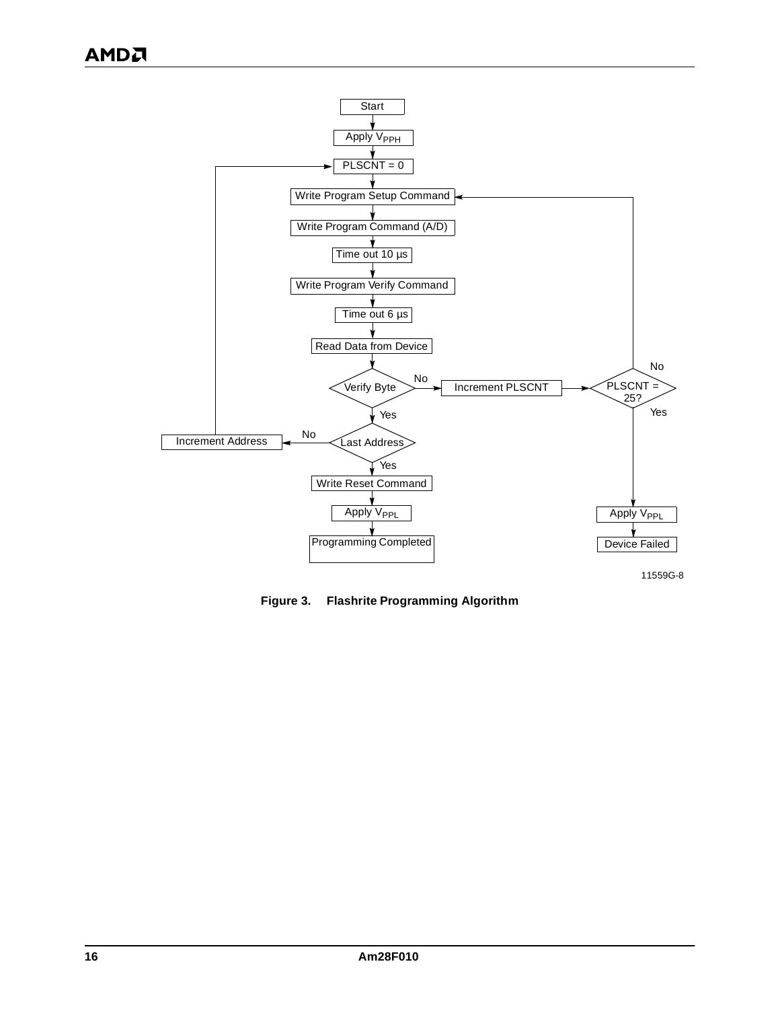<span id="page-15-0"></span>

**Figure 3. Flashrite Programming Algorithm**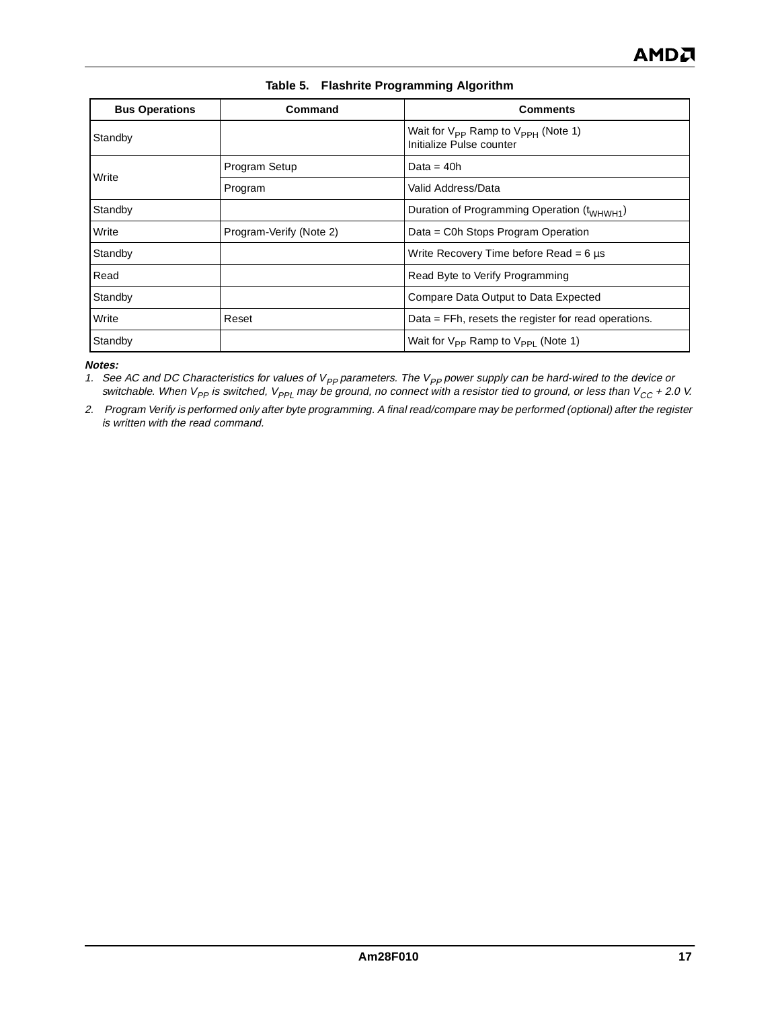<span id="page-16-0"></span>

| <b>Bus Operations</b> | Command                 | <b>Comments</b>                                                          |
|-----------------------|-------------------------|--------------------------------------------------------------------------|
| Standby               |                         | Wait for $V_{PP}$ Ramp to $V_{PPH}$ (Note 1)<br>Initialize Pulse counter |
| Write                 | Program Setup           | Data = $40h$                                                             |
|                       | Program                 | Valid Address/Data                                                       |
| Standby               |                         | Duration of Programming Operation (t <sub>WHWH1</sub> )                  |
| Write                 | Program-Verify (Note 2) | Data = C0h Stops Program Operation                                       |
| Standby               |                         | Write Recovery Time before Read = $6 \mu s$                              |
| Read                  |                         | Read Byte to Verify Programming                                          |
| Standby               |                         | Compare Data Output to Data Expected                                     |
| Write                 | Reset                   | Data = FFh, resets the register for read operations.                     |
| Standby               |                         | Wait for $V_{PP}$ Ramp to $V_{PP1}$ (Note 1)                             |

**Table 5. Flashrite Programming Algorithm**

**Notes:**

1. See AC and DC Characteristics for values of  $V_{PP}$  parameters. The  $V_{PP}$  power supply can be hard-wired to the device or switchable. When V<sub>PP</sub> is switched, V<sub>PPL</sub> may be ground, no connect with a resistor tied to ground, or less than V<sub>CC</sub> + 2.0 V.

2. Program Verify is performed only after byte programming. A final read/compare may be performed (optional) after the register is written with the read command.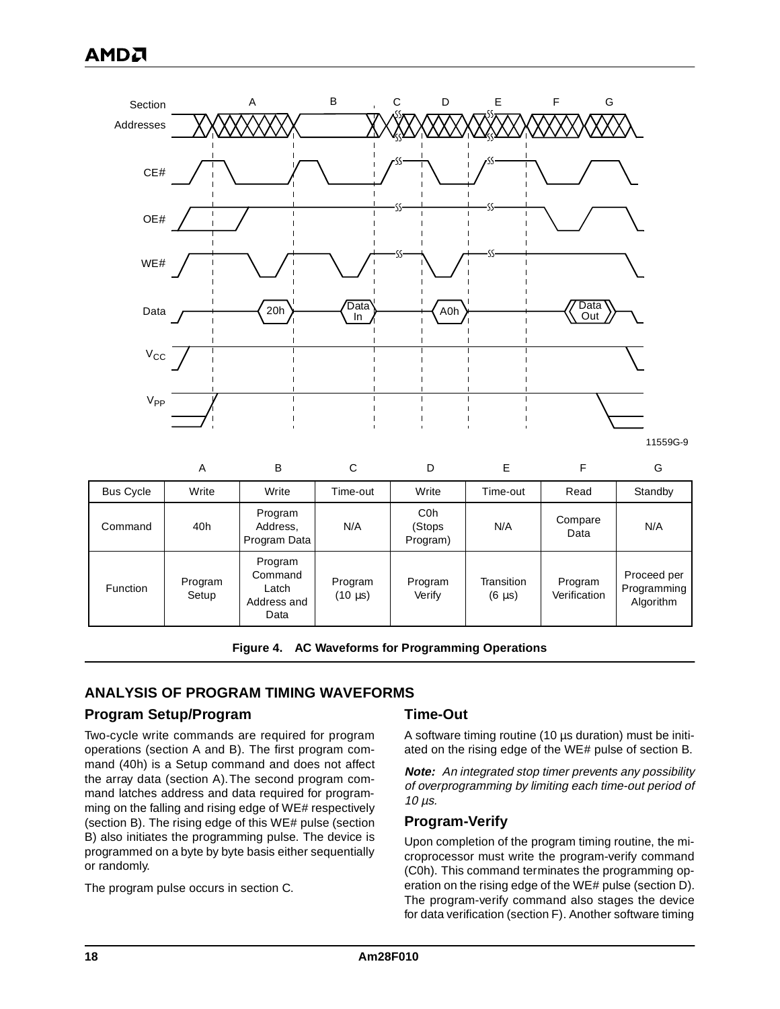

| <b>Bus Cycle</b> | Write            | Write                                              | Time-out                | Write                                  | Time-out                  | Read                    | Standby                                 |
|------------------|------------------|----------------------------------------------------|-------------------------|----------------------------------------|---------------------------|-------------------------|-----------------------------------------|
| Command          | 40h              | Program<br>Address,<br>Program Data                | N/A                     | C <sub>0</sub> h<br>(Stops<br>Program) | N/A                       | Compare<br>Data         | N/A                                     |
| <b>Function</b>  | Program<br>Setup | Program<br>Command<br>Latch<br>Address and<br>Data | Program<br>$(10 \mu s)$ | Program<br>Verify                      | Transition<br>$(6 \mu s)$ | Program<br>Verification | Proceed per<br>Programming<br>Algorithm |

**Figure 4. AC Waveforms for Programming Operations**

#### **ANALYSIS OF PROGRAM TIMING WAVEFORMS**

#### **Program Setup/Program**

Two-cycle write commands are required for program operations (section A and B). The first program command (40h) is a Setup command and does not affect the array data (section A).The second program command latches address and data required for programming on the falling and rising edge of WE# respectively (section B). The rising edge of this WE# pulse (section B) also initiates the programming pulse. The device is programmed on a byte by byte basis either sequentially or randomly.

The program pulse occurs in section C.

#### **Time-Out**

A software timing routine (10 µs duration) must be initiated on the rising edge of the WE# pulse of section B.

**Note:** An integrated stop timer prevents any possibility of overprogramming by limiting each time-out period of  $10 \mu s$ .

#### **Program-Verify**

Upon completion of the program timing routine, the microprocessor must write the program-verify command (C0h). This command terminates the programming operation on the rising edge of the WE# pulse (section D). The program-verify command also stages the device for data verification (section F). Another software timing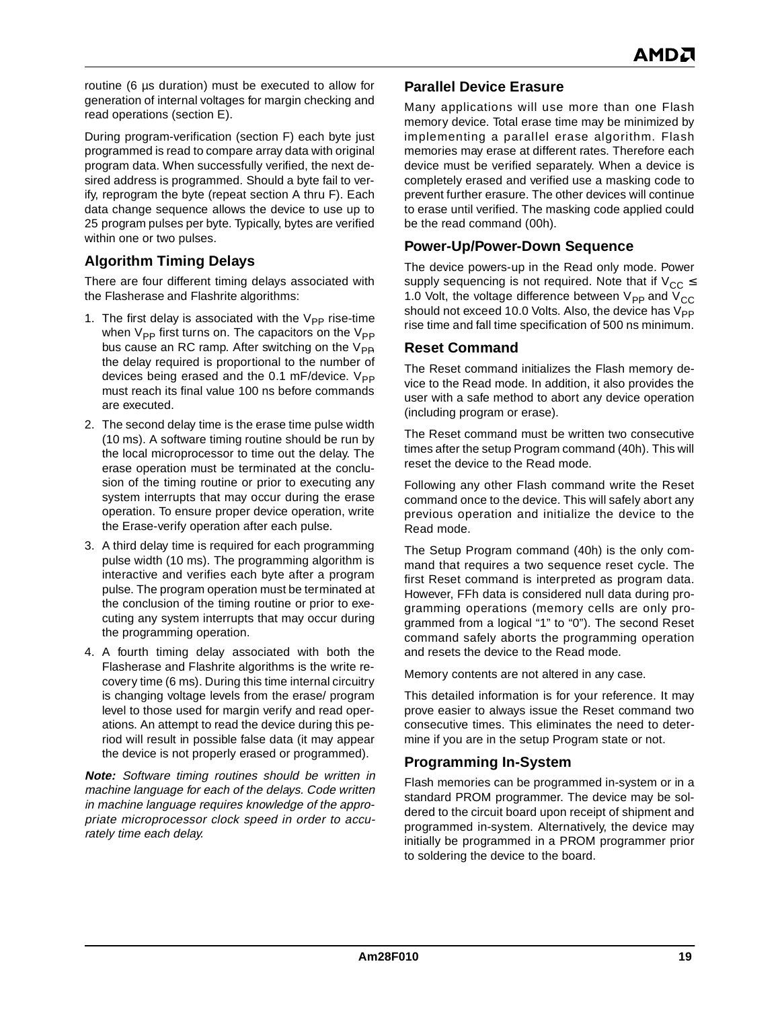routine (6 µs duration) must be executed to allow for generation of internal voltages for margin checking and read operations (section E).

During program-verification (section F) each byte just programmed is read to compare array data with original program data. When successfully verified, the next desired address is programmed. Should a byte fail to verify, reprogram the byte (repeat section A thru F). Each data change sequence allows the device to use up to 25 program pulses per byte. Typically, bytes are verified within one or two pulses.

## **Algorithm Timing Delays**

There are four different timing delays associated with the Flasherase and Flashrite algorithms:

- 1. The first delay is associated with the  $V_{PP}$  rise-time when  $V_{PP}$  first turns on. The capacitors on the  $V_{PP}$ bus cause an RC ramp. After switching on the  $V_{\text{PB}}$ the delay required is proportional to the number of devices being erased and the  $0.1$  mF/device.  $V_{PP}$ must reach its final value 100 ns before commands are executed.
- 2. The second delay time is the erase time pulse width (10 ms). A software timing routine should be run by the local microprocessor to time out the delay. The erase operation must be terminated at the conclusion of the timing routine or prior to executing any system interrupts that may occur during the erase operation. To ensure proper device operation, write the Erase-verify operation after each pulse.
- 3. A third delay time is required for each programming pulse width (10 ms). The programming algorithm is interactive and verifies each byte after a program pulse. The program operation must be terminated at the conclusion of the timing routine or prior to executing any system interrupts that may occur during the programming operation.
- 4. A fourth timing delay associated with both the Flasherase and Flashrite algorithms is the write recovery time (6 ms). During this time internal circuitry is changing voltage levels from the erase/ program level to those used for margin verify and read operations. An attempt to read the device during this period will result in possible false data (it may appear the device is not properly erased or programmed).

**Note:** Software timing routines should be written in machine language for each of the delays. Code written in machine language requires knowledge of the appropriate microprocessor clock speed in order to accurately time each delay.

#### **Parallel Device Erasure**

Many applications will use more than one Flash memory device. Total erase time may be minimized by implementing a parallel erase algorithm. Flash memories may erase at different rates. Therefore each device must be verified separately. When a device is completely erased and verified use a masking code to prevent further erasure. The other devices will continue to erase until verified. The masking code applied could be the read command (00h).

#### **Power-Up/Power-Down Sequence**

The device powers-up in the Read only mode. Power supply sequencing is not required. Note that if  $V_{CC} \le$ 1.0 Volt, the voltage difference between  $V_{PP}$  and  $V_{CC}$ should not exceed 10.0 Volts. Also, the device has  $V_{PP}$ rise time and fall time specification of 500 ns minimum.

#### **Reset Command**

The Reset command initializes the Flash memory device to the Read mode. In addition, it also provides the user with a safe method to abort any device operation (including program or erase).

The Reset command must be written two consecutive times after the setup Program command (40h). This will reset the device to the Read mode.

Following any other Flash command write the Reset command once to the device. This will safely abort any previous operation and initialize the device to the Read mode.

The Setup Program command (40h) is the only command that requires a two sequence reset cycle. The first Reset command is interpreted as program data. However, FFh data is considered null data during programming operations (memory cells are only programmed from a logical "1" to "0"). The second Reset command safely aborts the programming operation and resets the device to the Read mode.

Memory contents are not altered in any case.

This detailed information is for your reference. It may prove easier to always issue the Reset command two consecutive times. This eliminates the need to determine if you are in the setup Program state or not.

#### **Programming In-System**

Flash memories can be programmed in-system or in a standard PROM programmer. The device may be soldered to the circuit board upon receipt of shipment and programmed in-system. Alternatively, the device may initially be programmed in a PROM programmer prior to soldering the device to the board.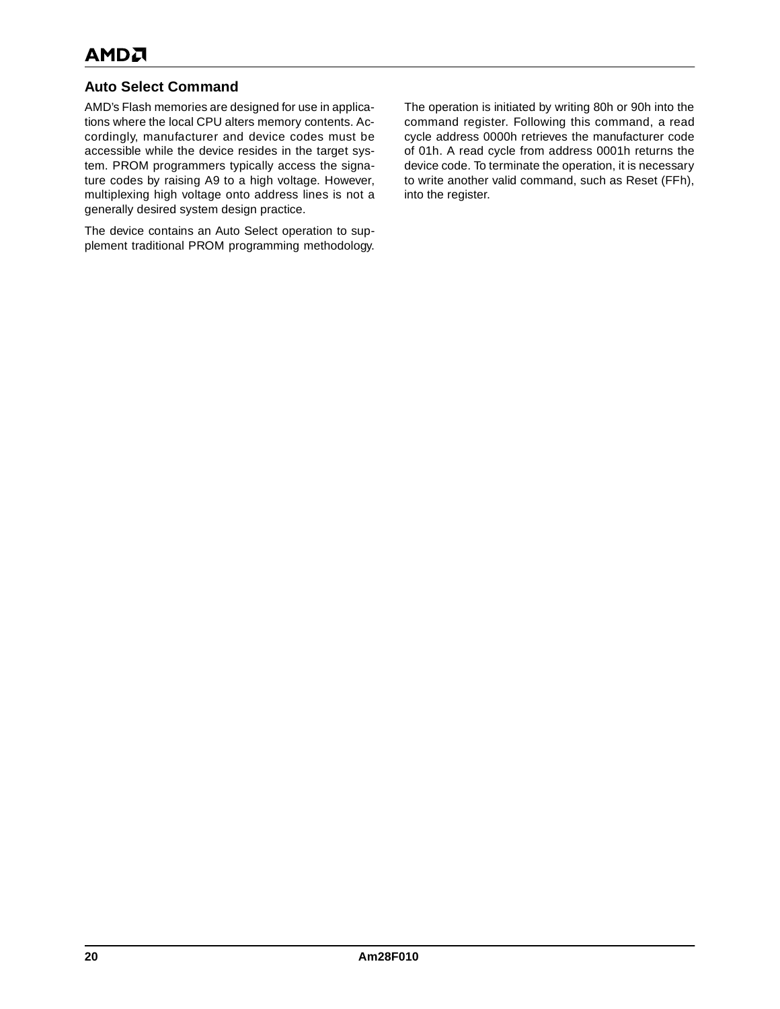## **Auto Select Command**

AMD's Flash memories are designed for use in applications where the local CPU alters memory contents. Accordingly, manufacturer and device codes must be accessible while the device resides in the target system. PROM programmers typically access the signature codes by raising A9 to a high voltage. However, multiplexing high voltage onto address lines is not a generally desired system design practice.

The device contains an Auto Select operation to supplement traditional PROM programming methodology. The operation is initiated by writing 80h or 90h into the command register. Following this command, a read cycle address 0000h retrieves the manufacturer code of 01h. A read cycle from address 0001h returns the device code. To terminate the operation, it is necessary to write another valid command, such as Reset (FFh), into the register.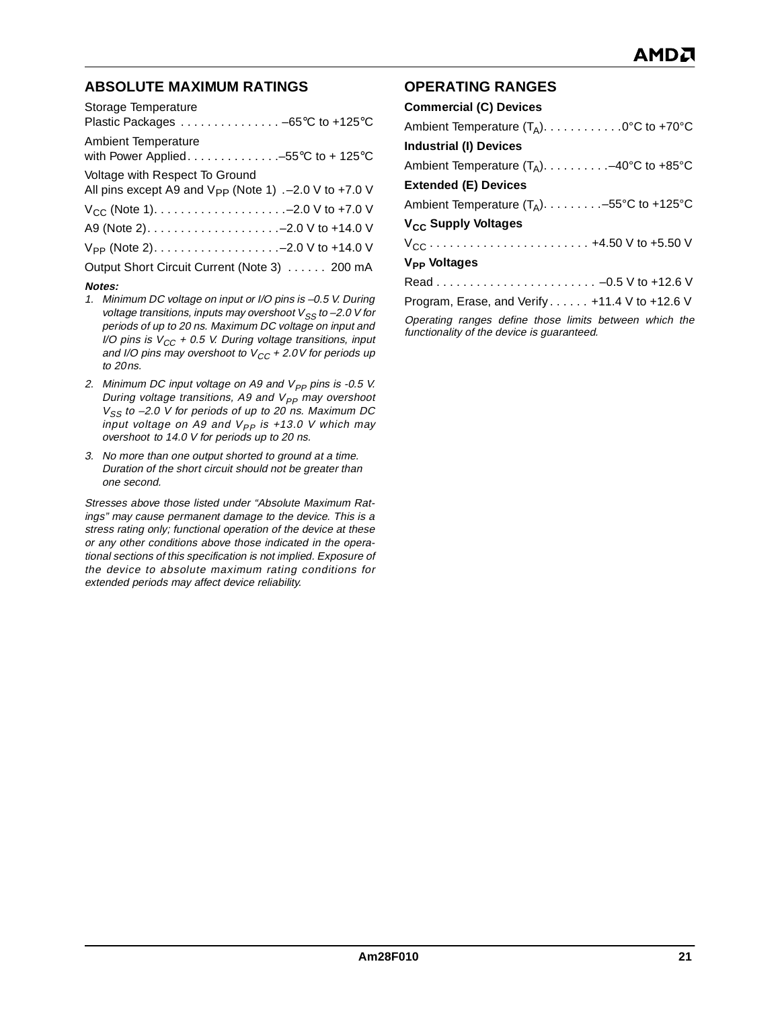#### **ABSOLUTE MAXIMUM RATINGS**

| Storage Temperature<br>Plastic Packages -65°C to +125°C                                       |  |
|-----------------------------------------------------------------------------------------------|--|
| <b>Ambient Temperature</b><br>with Power Applied-55°C to + 125°C                              |  |
| Voltage with Respect To Ground<br>All pins except A9 and $V_{PP}$ (Note 1) . -2.0 V to +7.0 V |  |
|                                                                                               |  |
|                                                                                               |  |
| $V_{PP}$ (Note 2)-2.0 V to +14.0 V                                                            |  |
| Output Short Circuit Current (Note 3) 200 mA                                                  |  |
| Notes:                                                                                        |  |

- 1. Minimum DC voltage on input or I/O pins is –0.5 V. During voltage transitions, inputs may overshoot  $V_{SS}$  to -2.0 V for periods of up to 20 ns. Maximum DC voltage on input and I/O pins is  $V_{CC}$  + 0.5 V. During voltage transitions, input and I/O pins may overshoot to  $V_{CC}$  + 2.0V for periods up to 20ns.
- 2. Minimum DC input voltage on A9 and  $V_{PP}$  pins is -0.5 V. During voltage transitions, A9 and  $V_{PP}$  may overshoot  $V_{SS}$  to -2.0 V for periods of up to 20 ns. Maximum DC input voltage on A9 and  $V_{PP}$  is +13.0 V which may overshoot to 14.0 V for periods up to 20 ns.
- 3. No more than one output shorted to ground at a time. Duration of the short circuit should not be greater than one second.

Stresses above those listed under "Absolute Maximum Ratings" may cause permanent damage to the device. This is a stress rating only; functional operation of the device at these or any other conditions above those indicated in the operational sections of this specification is not implied. Exposure of the device to absolute maximum rating conditions for extended periods may affect device reliability.

## **OPERATING RANGES**

| <b>Commercial (C) Devices</b>                          |
|--------------------------------------------------------|
| Ambient Temperature $(T_A)$ 0°C to +70°C               |
| <b>Industrial (I) Devices</b>                          |
| Ambient Temperature $(T_A)$ -40°C to +85°C             |
| <b>Extended (E) Devices</b>                            |
| Ambient Temperature $(T_A)$ . -55°C to +125°C          |
| V <sub>CC</sub> Supply Voltages                        |
| $V_{\text{CC}}$ +4.50 V to +5.50 V                     |
| V <sub>PP</sub> Voltages                               |
|                                                        |
| Program, Erase, and Verify $+11.4$ V to $+12.6$ V      |
| Operating repage define these limite between which the |

Operating ranges define those limits between which the functionality of the device is guaranteed.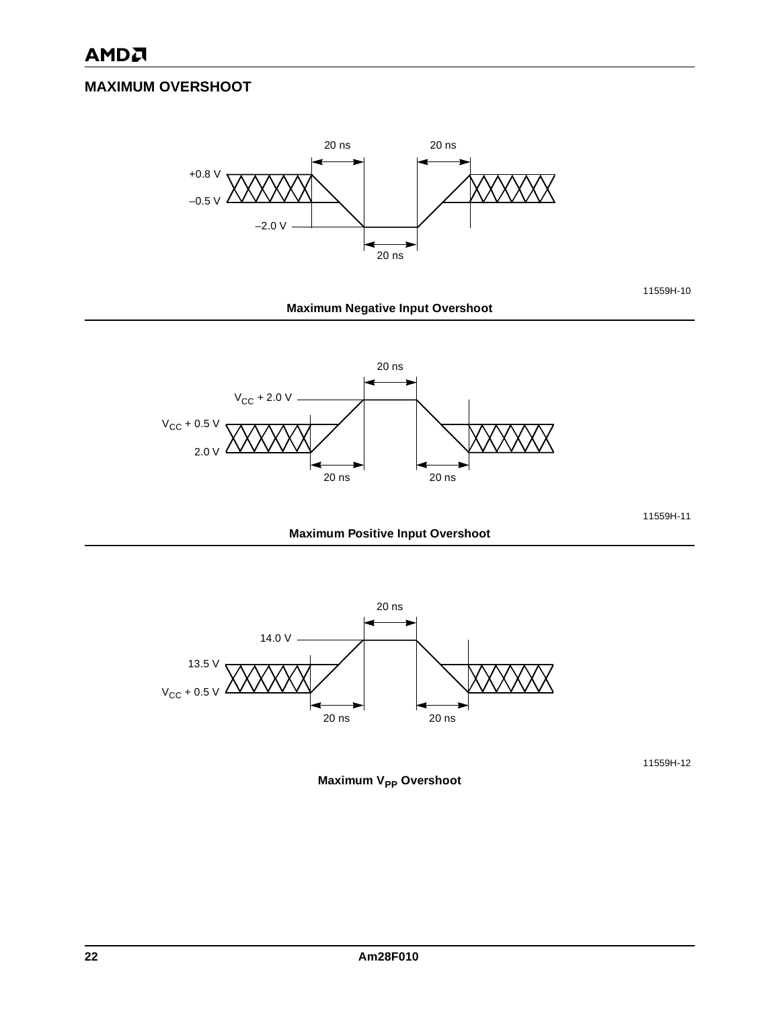## **MAXIMUM OVERSHOOT**



11559H-10

#### **Maximum Negative Input Overshoot**



11559H-11

#### **Maximum Positive Input Overshoot**



11559H-12

**Maximum V<sub>PP</sub> Overshoot**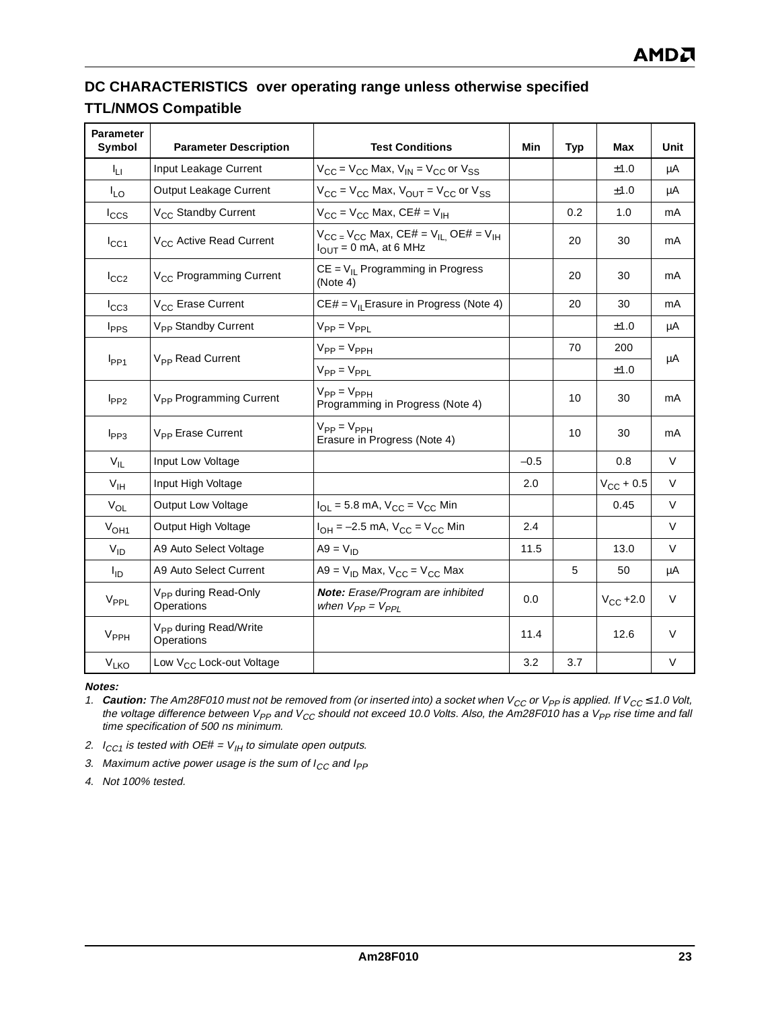## **DC CHARACTERISTICS over operating range unless otherwise specified TTL/NMOS Compatible**

| <b>Parameter</b><br>Symbol | <b>Parameter Description</b>                    | <b>Test Conditions</b>                                                                      | Min    | <b>Typ</b> | Max            | Unit |
|----------------------------|-------------------------------------------------|---------------------------------------------------------------------------------------------|--------|------------|----------------|------|
| Iц                         | Input Leakage Current                           | $V_{CC}$ = $V_{CC}$ Max, $V_{IN}$ = $V_{CC}$ or $V_{SS}$                                    |        |            | ±1.0           | μA   |
| $I_{LO}$                   | Output Leakage Current                          | $V_{CC}$ = $V_{CC}$ Max, $V_{OUT}$ = $V_{CC}$ or $V_{SS}$                                   |        |            | ±1.0           | μA   |
| $I_{CCS}$                  | V <sub>CC</sub> Standby Current                 | $V_{CC}$ = $V_{CC}$ Max, CE# = $V_{IH}$                                                     |        | 0.2        | 1.0            | mA   |
| $I_{\rm CC1}$              | V <sub>CC</sub> Active Read Current             | $V_{CC}$ = $V_{CC}$ Max, CE# = $V_{IL}$ OE# = $V_{IH}$<br>$I_{\text{OUT}} = 0$ mA, at 6 MHz |        | 20         | 30             | mA   |
| $I_{CC2}$                  | V <sub>CC</sub> Programming Current             | $CE = V_{IL}$ Programming in Progress<br>(Note 4)                                           |        | 20         | 30             | mA   |
| $I_{CC3}$                  | V <sub>CC</sub> Erase Current                   | $CE# = V_{II}$ Erasure in Progress (Note 4)                                                 |        | 20         | 30             | mA   |
| $I_{PPS}$                  | V <sub>PP</sub> Standby Current                 | $V_{PP} = V_{PPL}$                                                                          |        |            | ±1.0           | μA   |
|                            |                                                 | $V_{PP} = V_{PPH}$                                                                          |        | 70         | 200            |      |
| $I_{PP1}$                  | V <sub>PP</sub> Read Current                    | $V_{PP} = V_{PPI}$                                                                          |        |            | ±1.0           | μA   |
| $I_{PP2}$                  | V <sub>PP</sub> Programming Current             | $V_{PP} = V_{PPH}$<br>Programming in Progress (Note 4)                                      |        | 10         | 30             | mA   |
| $I_{PP3}$                  | V <sub>PP</sub> Erase Current                   | $V_{PP} = V_{PPH}$<br>Erasure in Progress (Note 4)                                          |        | 10         | 30             | mA   |
| $V_{IL}$                   | Input Low Voltage                               |                                                                                             | $-0.5$ |            | 0.8            | V    |
| $V_{\text{IH}}$            | Input High Voltage                              |                                                                                             | 2.0    |            | $V_{CC}$ + 0.5 | V    |
| $V_{OL}$                   | Output Low Voltage                              | $I_{\text{O1}} = 5.8 \text{ mA}$ , $V_{\text{CC}} = V_{\text{CC}}$ Min                      |        |            | 0.45           | V    |
| V <sub>OH1</sub>           | Output High Voltage                             | $I_{OH} = -2.5$ mA, $V_{CC} = V_{CC}$ Min                                                   | 2.4    |            |                | V    |
| $V_{ID}$                   | A9 Auto Select Voltage                          | $A9 = V_{1D}$                                                                               | 11.5   |            | 13.0           | V    |
| l <sub>ID</sub>            | A9 Auto Select Current                          | A9 = $V_{ID}$ Max, $V_{CC}$ = $V_{CC}$ Max                                                  |        | 5          | 50             | μA   |
| V <sub>PPL</sub>           | V <sub>PP</sub> during Read-Only<br>Operations  | Note: Erase/Program are inhibited<br>when $V_{PP} = V_{PPL}$                                | 0.0    |            | $V_{CC}$ +2.0  | V    |
| V <sub>PPH</sub>           | V <sub>PP</sub> during Read/Write<br>Operations |                                                                                             | 11.4   |            | 12.6           | V    |
| V <sub>LKO</sub>           | Low V <sub>CC</sub> Lock-out Voltage            |                                                                                             | 3.2    | 3.7        |                | V    |

**Notes:**

- 1. **Caution:** The Am28F010 must not be removed from (or inserted into) a socket when  $V_{CC}$  or  $V_{PP}$  is applied. If  $V_{CC} \le 1.0$  Volt, the voltage difference between V<sub>PP</sub> and V<sub>CC</sub> should not exceed 10.0 Volts. Also, the Am28F010 has a V<sub>PP</sub> rise time and fall time specification of 500 ns minimum.
- 2.  $I_{CC1}$  is tested with OE# =  $V_{IH}$  to simulate open outputs.
- 3. Maximum active power usage is the sum of  $I_{CC}$  and  $I_{PP}$
- 4. Not 100% tested.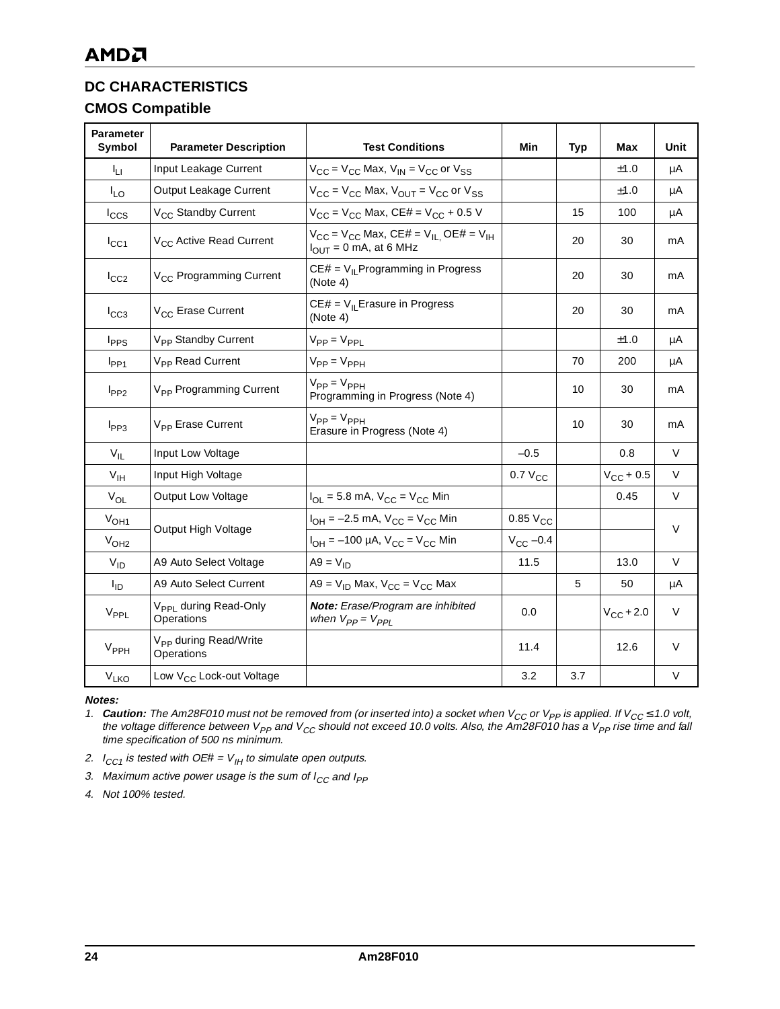## **DC CHARACTERISTICS**

## **CMOS Compatible**

| <b>Parameter</b><br>Symbol | <b>Parameter Description</b>                    | <b>Test Conditions</b>                                                               | Min             | <b>Typ</b> | Max                   | Unit   |
|----------------------------|-------------------------------------------------|--------------------------------------------------------------------------------------|-----------------|------------|-----------------------|--------|
| ŀц                         | Input Leakage Current                           | $V_{CC}$ = $V_{CC}$ Max, $V_{IN}$ = $V_{CC}$ or $V_{SS}$                             |                 |            | ±1.0                  | μA     |
| I <sub>LO</sub>            | Output Leakage Current                          | $V_{CC}$ = $V_{CC}$ Max, $V_{OUT}$ = $V_{CC}$ or $V_{SS}$                            |                 |            | ±1.0                  | μA     |
| $I_{CCS}$                  | V <sub>CC</sub> Standby Current                 | $V_{CC}$ = $V_{CC}$ Max, CE# = $V_{CC}$ + 0.5 V                                      |                 | 15         | 100                   | μA     |
| $I_{\rm CC1}$              | V <sub>CC</sub> Active Read Current             | $V_{CC}$ = $V_{CC}$ Max, CE# = $V_{IL}$ OE# = $V_{IH}$<br>$I_{OUT} = 0$ mA, at 6 MHz |                 | 20         | 30                    | mA     |
| $I_{CC2}$                  | V <sub>CC</sub> Programming Current             | $CE# = V_{II}$ Programming in Progress<br>(Note 4)                                   |                 | 20         | 30                    | mA     |
| $I_{CC3}$                  | V <sub>CC</sub> Erase Current                   | $CE# = V_{II}$ Erasure in Progress<br>(Note 4)                                       |                 | 20         | 30                    | mA     |
| <b>I</b> <sub>PPS</sub>    | V <sub>PP</sub> Standby Current                 | $V_{PP} = V_{PPI}$                                                                   |                 |            | ±1.0                  | μA     |
| $I_{PP1}$                  | V <sub>PP</sub> Read Current                    | $V_{PP} = V_{PPH}$                                                                   |                 | 70         | 200                   | μA     |
| $I_{PP2}$                  | V <sub>PP</sub> Programming Current             | $V_{PP} = V_{PPH}$<br>Programming in Progress (Note 4)                               |                 | 10         | 30                    | mA     |
| $I_{PP3}$                  | V <sub>PP</sub> Erase Current                   | $V_{\text{PP}} = V_{\text{PPH}}$<br>Erasure in Progress (Note 4)                     |                 | 10         | 30                    | mA     |
| $V_{IL}$                   | Input Low Voltage                               |                                                                                      | $-0.5$          |            | 0.8                   | V      |
| $V_{\text{IH}}$            | Input High Voltage                              |                                                                                      | $0.7 V_{CC}$    |            | $V_{\text{CC}}$ + 0.5 | $\vee$ |
| $V_{OL}$                   | Output Low Voltage                              | $I_{OL}$ = 5.8 mA, $V_{CC}$ = $V_{CC}$ Min                                           |                 |            | 0.45                  | V      |
| V <sub>OH1</sub>           | Output High Voltage                             | $I_{OH} = -2.5$ mA, $V_{CC} = V_{CC}$ Min                                            | $0.85$ $V_{CC}$ |            |                       | $\vee$ |
| V <sub>OH2</sub>           |                                                 | $I_{OH} = -100 \mu A$ , $V_{CC} = V_{CC}$ Min                                        | $V_{CC}$ -0.4   |            |                       |        |
| $V_{ID}$                   | A9 Auto Select Voltage                          | $A9 = V_{1D}$                                                                        | 11.5            |            | 13.0                  | V      |
| $I_{ID}$                   | A9 Auto Select Current                          | A9 = $V_{ID}$ Max, $V_{CC}$ = $V_{CC}$ Max                                           |                 | 5          | 50                    | μA     |
| $V_{\sf PPL}$              | V <sub>PPL</sub> during Read-Only<br>Operations | Note: Erase/Program are inhibited<br>when $V_{PP} = V_{PPL}$                         | 0.0             |            | $V_{CC} + 2.0$        | V      |
| $V_{PPH}$                  | V <sub>PP</sub> during Read/Write<br>Operations |                                                                                      | 11.4            |            | 12.6                  | V      |
| V <sub>LKO</sub>           | Low V <sub>CC</sub> Lock-out Voltage            |                                                                                      | 3.2             | 3.7        |                       | V      |

**Notes:**

1. **Caution:** The Am28F010 must not be removed from (or inserted into) a socket when  $V_{CC}$  or  $V_{PP}$  is applied. If  $V_{CC} \le 1.0$  volt, the voltage difference between V<sub>PP</sub> and V<sub>CC</sub> should not exceed 10.0 volts. Also, the Am28F010 has a V<sub>PP</sub> rise time and fall time specification of 500 ns minimum.

2.  $I_{CC1}$  is tested with OE# =  $V_{IH}$  to simulate open outputs.

- 3. Maximum active power usage is the sum of  $I_{CC}$  and  $I_{PP}$
- 4. Not 100% tested.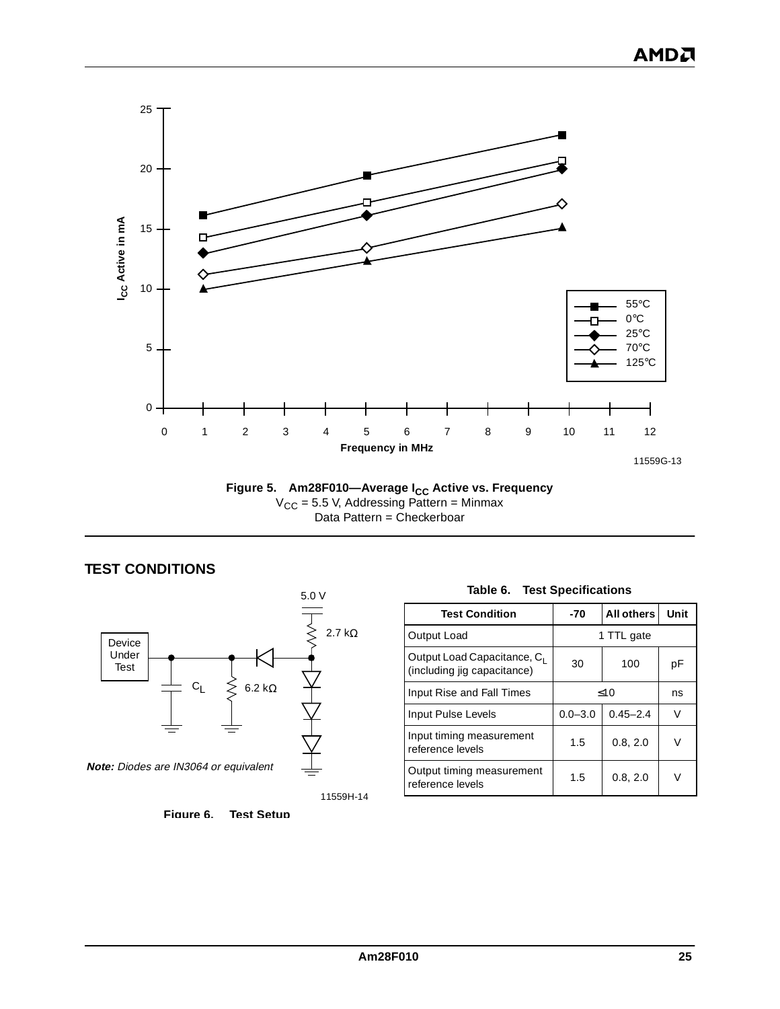

Figure 5. Am28F010—Average I<sub>CC</sub> Active vs. Frequency  $V_{\text{CC}}$  = 5.5 V, Addressing Pattern = Minmax Data Pattern = Checkerboar

## **TEST CONDITIONS**



11559H-14



**Table 6. Test Specifications**

| <b>Test Condition</b>                                                  | $-70$       | <b>All others</b> | Unit |
|------------------------------------------------------------------------|-------------|-------------------|------|
| Output Load                                                            | 1 TTL gate  |                   |      |
| Output Load Capacitance, C <sub>1</sub><br>(including jig capacitance) | 30          | 100               | рF   |
| Input Rise and Fall Times                                              | $<$ 10      | ns                |      |
| Input Pulse Levels                                                     | $0.0 - 3.0$ | $0.45 - 2.4$      | V    |
| Input timing measurement<br>reference levels                           | 1.5         | 0.8, 2.0          | V    |
| Output timing measurement<br>reference levels                          | 1.5         | 0.8, 2.0          | v    |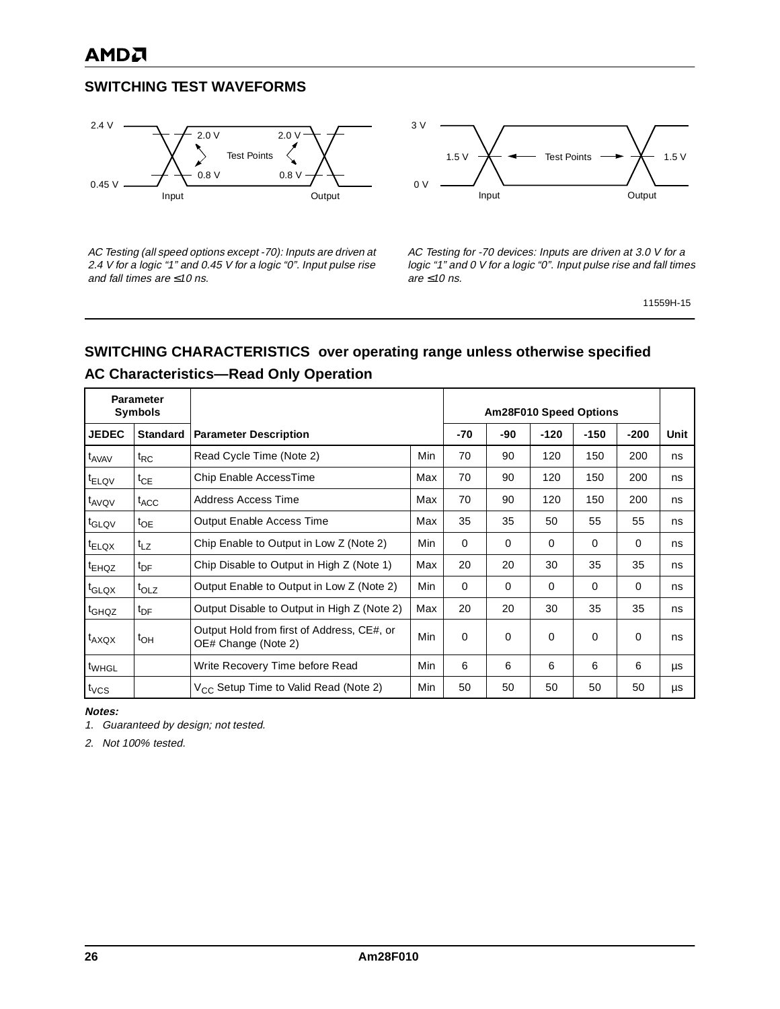## **SWITCHING TEST WAVEFORMS**



AC Testing (all speed options except -70): Inputs are driven at 2.4 V for a logic "1" and 0.45 V for a logic "0". Input pulse rise and fall times are ≤10 ns.



AC Testing for -70 devices: Inputs are driven at 3.0 V for a logic "1" and 0 V for a logic "0". Input pulse rise and fall times are ≤10 ns.

11559H-15

## **SWITCHING CHARACTERISTICS over operating range unless otherwise specified AC Characteristics—Read Only Operation**

| <b>Parameter</b><br><b>Symbols</b> |                  |                                                                   |     | Am28F010 Speed Options |          |          |             |             |      |
|------------------------------------|------------------|-------------------------------------------------------------------|-----|------------------------|----------|----------|-------------|-------------|------|
| <b>JEDEC</b>                       | <b>Standard</b>  | <b>Parameter Description</b>                                      |     | -70                    | -90      | $-120$   | $-150$      | $-200$      | Unit |
| t <sub>AVAV</sub>                  | $t_{RC}$         | Read Cycle Time (Note 2)                                          | Min | 70                     | 90       | 120      | 150         | 200         | ns   |
| t <sub>ELQV</sub>                  | $t_{CE}$         | Chip Enable AccessTime                                            | Max | 70                     | 90       | 120      | 150         | 200         | ns   |
| $t_{AVQV}$                         | $t_{\text{ACC}}$ | Address Access Time                                               | Max | 70                     | 90       | 120      | 150         | 200         | ns   |
| t <sub>GLQV</sub>                  | $t_{OE}$         | <b>Output Enable Access Time</b>                                  | Max | 35                     | 35       | 50       | 55          | 55          | ns   |
| $t_{ELOX}$                         | $t_{LZ}$         | Chip Enable to Output in Low Z (Note 2)                           | Min | $\Omega$               | $\Omega$ | 0        | $\Omega$    | $\Omega$    | ns   |
| $t_{EHQZ}$                         | $t_{\text{DF}}$  | Chip Disable to Output in High Z (Note 1)                         | Max | 20                     | 20       | 30       | 35          | 35          | ns   |
| t <sub>GLQX</sub>                  | $t_{OLZ}$        | Output Enable to Output in Low Z (Note 2)                         | Min | $\Omega$               | $\Omega$ | $\Omega$ | $\Omega$    | $\Omega$    | ns   |
| t <sub>GHQZ</sub>                  | $t_{\text{DF}}$  | Output Disable to Output in High Z (Note 2)                       | Max | 20                     | 20       | 30       | 35          | 35          | ns   |
| $t_{AXQX}$                         | $t_{OH}$         | Output Hold from first of Address, CE#, or<br>OE# Change (Note 2) | Min | $\mathbf 0$            | $\Omega$ | 0        | $\mathbf 0$ | $\mathbf 0$ | ns   |
| t <sub>WHGL</sub>                  |                  | Write Recovery Time before Read                                   | Min | 6                      | 6        | 6        | 6           | 6           | μs   |
| $t_{VCS}$                          |                  | $V_{CC}$ Setup Time to Valid Read (Note 2)                        | Min | 50                     | 50       | 50       | 50          | 50          | μs   |

**Notes:**

1. Guaranteed by design; not tested.

2. Not 100% tested.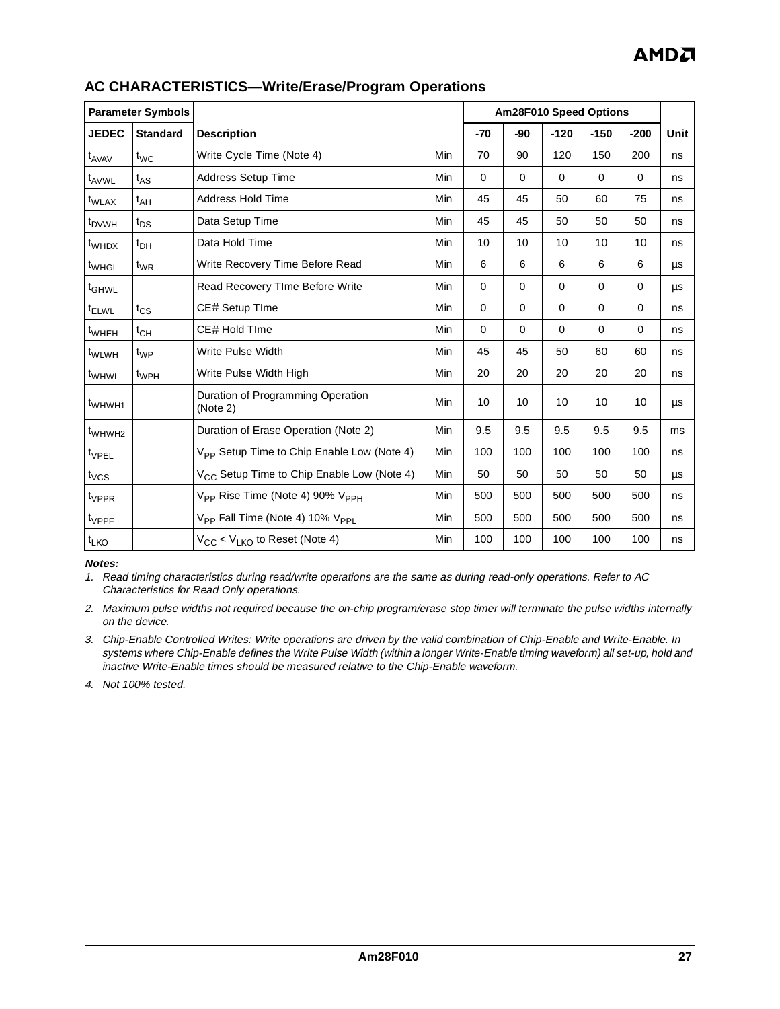| <b>Parameter Symbols</b>      |                 |                                                         |     | Am28F010 Speed Options |             |             |             |             |      |
|-------------------------------|-----------------|---------------------------------------------------------|-----|------------------------|-------------|-------------|-------------|-------------|------|
| <b>JEDEC</b>                  | <b>Standard</b> | <b>Description</b>                                      |     | $-70$                  | -90         | $-120$      | $-150$      | $-200$      | Unit |
| t <sub>AVAV</sub>             | $t_{WC}$        | Write Cycle Time (Note 4)                               | Min | 70                     | 90          | 120         | 150         | 200         | ns   |
| t <sub>AVWL</sub>             | $t_{AS}$        | Address Setup Time                                      | Min | $\mathbf 0$            | $\mathbf 0$ | $\mathbf 0$ | $\mathbf 0$ | $\mathbf 0$ | ns   |
| t <sub>WLAX</sub>             | $t_{AH}$        | <b>Address Hold Time</b>                                | Min | 45                     | 45          | 50          | 60          | 75          | ns   |
| <sup>t</sup> <sub>DVWH</sub>  | $t_{DS}$        | Data Setup Time                                         | Min | 45                     | 45          | 50          | 50          | 50          | ns   |
| <sup>t</sup> wh <sub>DX</sub> | $t_{DH}$        | Data Hold Time                                          | Min | 10                     | 10          | 10          | 10          | 10          | ns   |
| t <sub>WHGL</sub>             | $t_{WR}$        | Write Recovery Time Before Read                         | Min | 6                      | 6           | 6           | 6           | 6           | μs   |
| t <sub>GHWL</sub>             |                 | Read Recovery TIme Before Write                         | Min | $\mathbf 0$            | 0           | $\mathbf 0$ | $\Omega$    | 0           | μs   |
| <sup>t</sup> ELWL             | $t_{CS}$        | CE# Setup TIme                                          | Min | $\mathbf 0$            | 0           | $\mathbf 0$ | $\mathbf 0$ | 0           | ns   |
| t <sub>WHEH</sub>             | $t_{CH}$        | CE# Hold TIme                                           | Min | $\Omega$               | $\mathbf 0$ | 0           | $\mathbf 0$ | $\mathbf 0$ | ns   |
| <sup>t</sup> wLwH             | $t_{WP}$        | Write Pulse Width                                       | Min | 45                     | 45          | 50          | 60          | 60          | ns   |
| t <sub>WHWL</sub>             | $t_{WPH}$       | Write Pulse Width High                                  | Min | 20                     | 20          | 20          | 20          | 20          | ns   |
| t <sub>WHWH1</sub>            |                 | Duration of Programming Operation<br>(Note 2)           | Min | 10                     | 10          | 10          | 10          | 10          | μs   |
| t <sub>WHWH2</sub>            |                 | Duration of Erase Operation (Note 2)                    | Min | 9.5                    | 9.5         | 9.5         | 9.5         | 9.5         | ms   |
| $t_{VPEL}$                    |                 | V <sub>PP</sub> Setup Time to Chip Enable Low (Note 4)  | Min | 100                    | 100         | 100         | 100         | 100         | ns   |
| $t_{VCS}$                     |                 | V <sub>CC</sub> Setup Time to Chip Enable Low (Note 4)  | Min | 50                     | 50          | 50          | 50          | 50          | μs   |
| $t_{VPPR}$                    |                 | V <sub>PP</sub> Rise Time (Note 4) 90% V <sub>PPH</sub> | Min | 500                    | 500         | 500         | 500         | 500         | ns   |
| $t_{VPPF}$                    |                 | V <sub>PP</sub> Fall Time (Note 4) 10% V <sub>PPL</sub> | Min | 500                    | 500         | 500         | 500         | 500         | ns   |
| $t_{LKO}$                     |                 | $V_{CC}$ < $V_{LKO}$ to Reset (Note 4)                  | Min | 100                    | 100         | 100         | 100         | 100         | ns   |

## **AC CHARACTERISTICS—Write/Erase/Program Operations**

#### **Notes:**

1. Read timing characteristics during read/write operations are the same as during read-only operations. Refer to AC Characteristics for Read Only operations.

2. Maximum pulse widths not required because the on-chip program/erase stop timer will terminate the pulse widths internally on the device.

3. Chip-Enable Controlled Writes: Write operations are driven by the valid combination of Chip-Enable and Write-Enable. In systems where Chip-Enable defines the Write Pulse Width (within a longer Write-Enable timing waveform) all set-up, hold and inactive Write-Enable times should be measured relative to the Chip-Enable waveform.

4. Not 100% tested.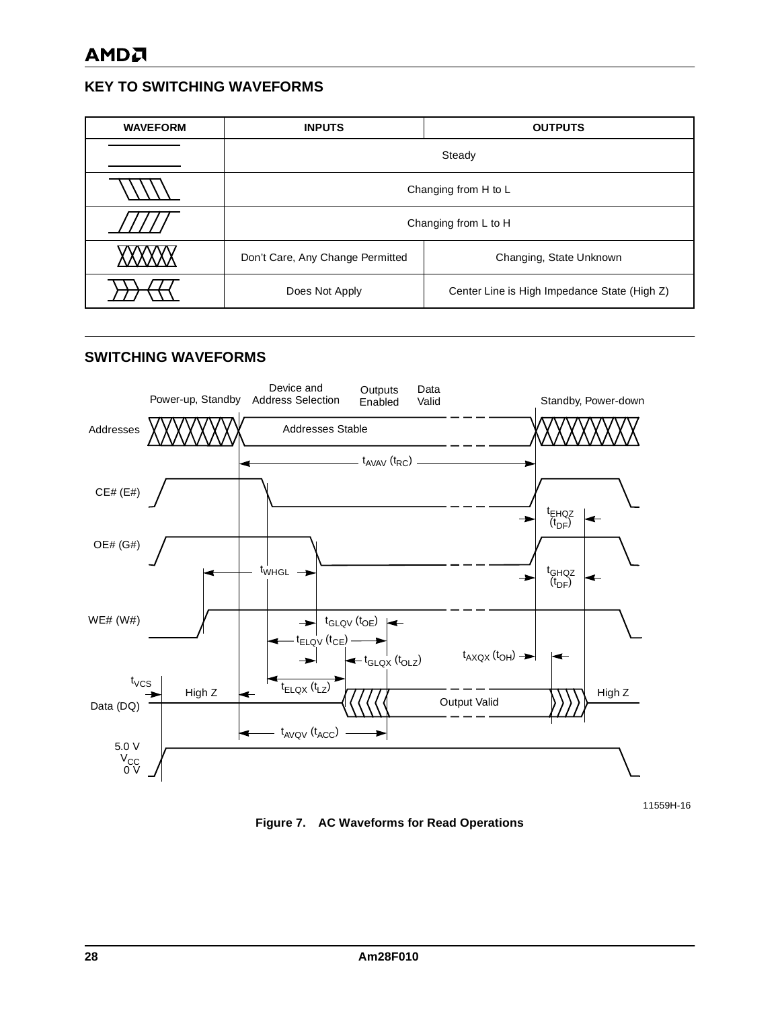## **KEY TO SWITCHING WAVEFORMS**

| <b>WAVEFORM</b> | <b>INPUTS</b>                    | <b>OUTPUTS</b>                               |  |  |  |  |
|-----------------|----------------------------------|----------------------------------------------|--|--|--|--|
|                 | Steady                           |                                              |  |  |  |  |
|                 | Changing from H to L             |                                              |  |  |  |  |
|                 | Changing from L to H             |                                              |  |  |  |  |
|                 | Don't Care, Any Change Permitted | Changing, State Unknown                      |  |  |  |  |
|                 | Does Not Apply                   | Center Line is High Impedance State (High Z) |  |  |  |  |

## **SWITCHING WAVEFORMS**



11559H-16

**Figure 7. AC Waveforms for Read Operations**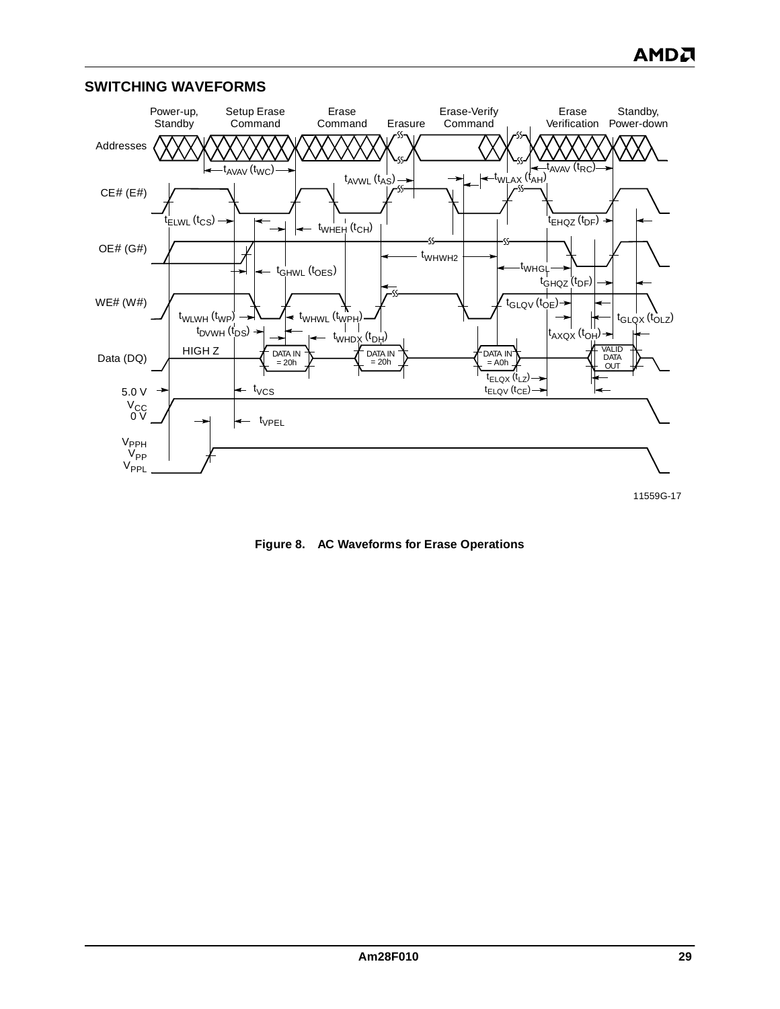#### **SWITCHING WAVEFORMS**



11559G-17

**Figure 8. AC Waveforms for Erase Operations**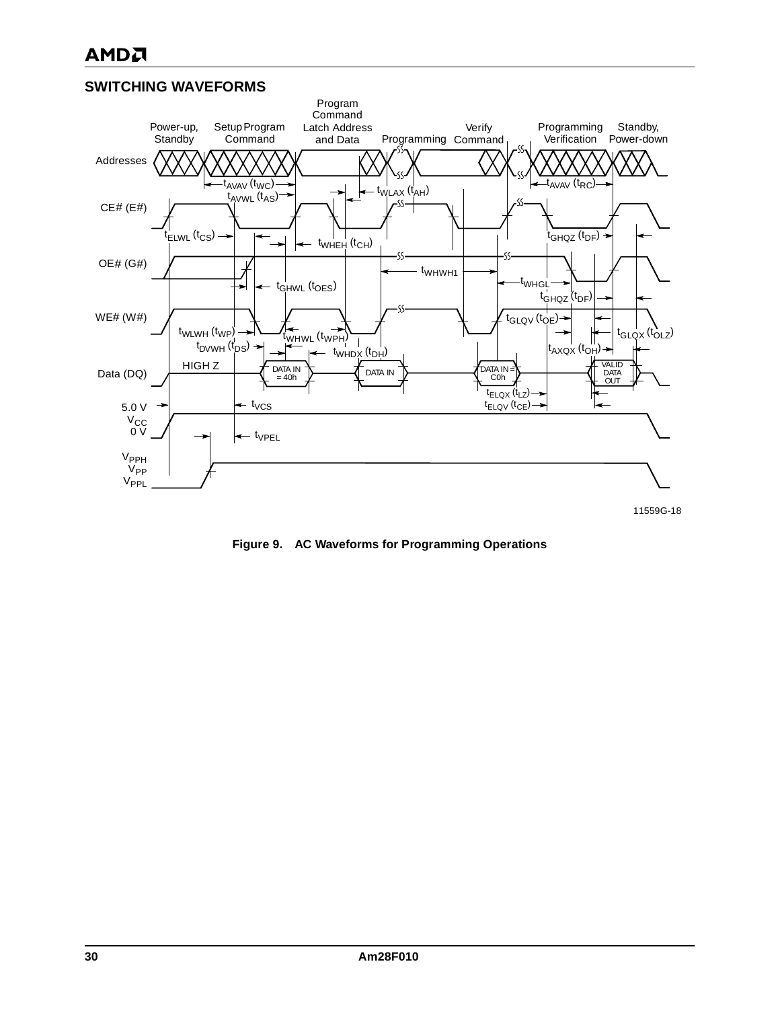#### **SWITCHING WAVEFORMS**



**Figure 9. AC Waveforms for Programming Operations**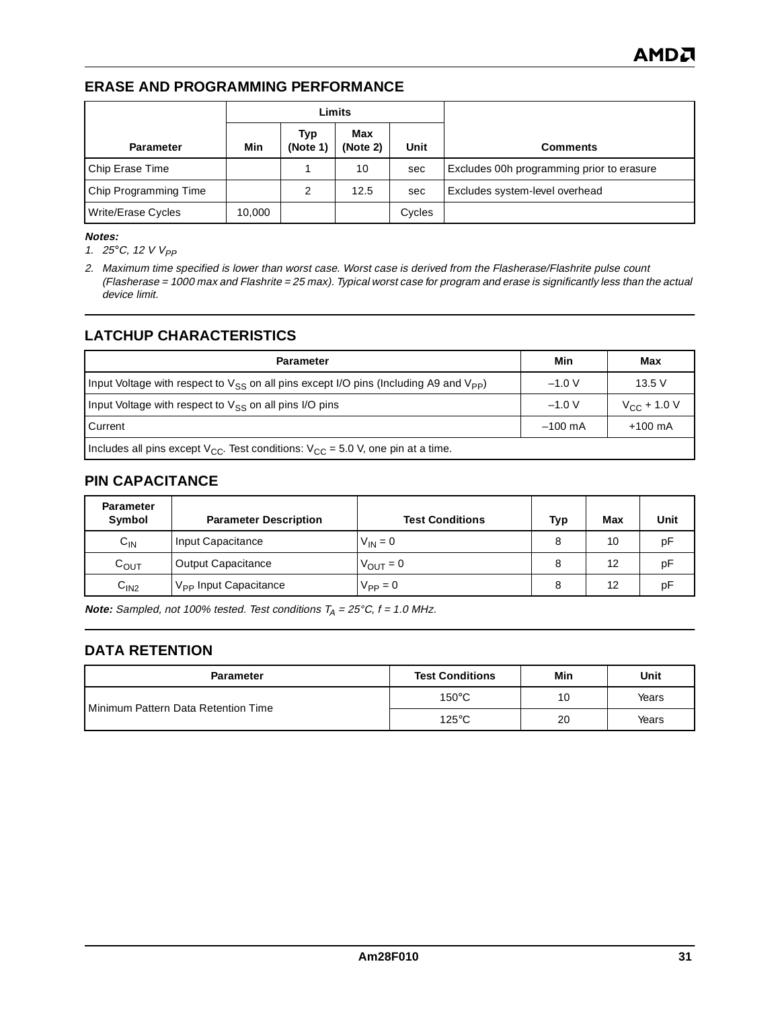## **ERASE AND PROGRAMMING PERFORMANCE**

|                       | Limits |                 |                 |        |                                           |
|-----------------------|--------|-----------------|-----------------|--------|-------------------------------------------|
| <b>Parameter</b>      | Min    | Typ<br>(Note 1) | Max<br>(Note 2) | Unit   | <b>Comments</b>                           |
| Chip Erase Time       |        |                 | 10              | sec    | Excludes 00h programming prior to erasure |
| Chip Programming Time |        | 2               | 12.5            | sec    | Excludes system-level overhead            |
| Write/Erase Cycles    | 10,000 |                 |                 | Cycles |                                           |

#### **Notes:**

1. 25 $\degree$ C, 12 V V<sub>PP</sub>

2. Maximum time specified is lower than worst case. Worst case is derived from the Flasherase/Flashrite pulse count (Flasherase = 1000 max and Flashrite = 25 max). Typical worst case for program and erase is significantly less than the actual device limit.

## **LATCHUP CHARACTERISTICS**

| <b>Parameter</b>                                                                                | Min       | Max               |
|-------------------------------------------------------------------------------------------------|-----------|-------------------|
| Input Voltage with respect to $V_{SS}$ on all pins except I/O pins (Including A9 and $V_{PP}$ ) | $-1.0 V$  | 13.5 V            |
| Input Voltage with respect to V <sub>SS</sub> on all pins I/O pins                              | $-1.0 V$  | $V_{CC}$ + 1.0 V  |
| Current                                                                                         | $-100$ mA | $+100 \text{ mA}$ |
| Includes all pins except $V_{CC}$ . Test conditions: $V_{CC}$ = 5.0 V, one pin at a time.       |           |                   |

#### **PIN CAPACITANCE**

| <b>Parameter</b><br>Symbol | <b>Parameter Description</b>      | <b>Test Conditions</b> | Typ | Max | Unit |
|----------------------------|-----------------------------------|------------------------|-----|-----|------|
| $C_{\text{IN}}$            | Input Capacitance                 | $V_{IN} = 0$           | 8   | 10  | рF   |
| $C_{OUT}$                  | <b>Output Capacitance</b>         | $V_{\text{OUT}} = 0$   | 8   | 12  | рF   |
| C <sub>IN2</sub>           | V <sub>PP</sub> Input Capacitance | $V_{PP} = 0$           | 8   | 12  | рF   |

**Note:** Sampled, not 100% tested. Test conditions  $T_A = 25^{\circ}C$ ,  $f = 1.0$  MHz.

## **DATA RETENTION**

| <b>Parameter</b>                    | <b>Test Conditions</b> | Min | Unit  |
|-------------------------------------|------------------------|-----|-------|
| Minimum Pattern Data Retention Time | $150^{\circ}$ C        | 10  | Years |
|                                     | $125^{\circ}$ C        | 20  | Years |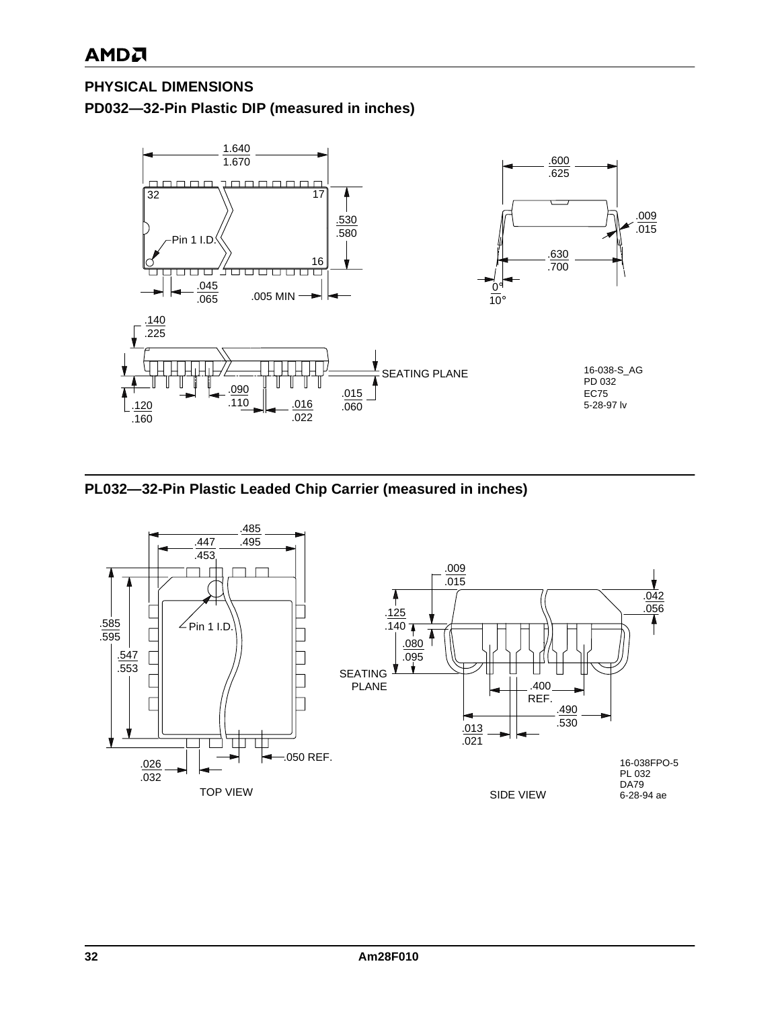## **PHYSICAL DIMENSIONS**

## **PD032—32-Pin Plastic DIP (measured in inches)**





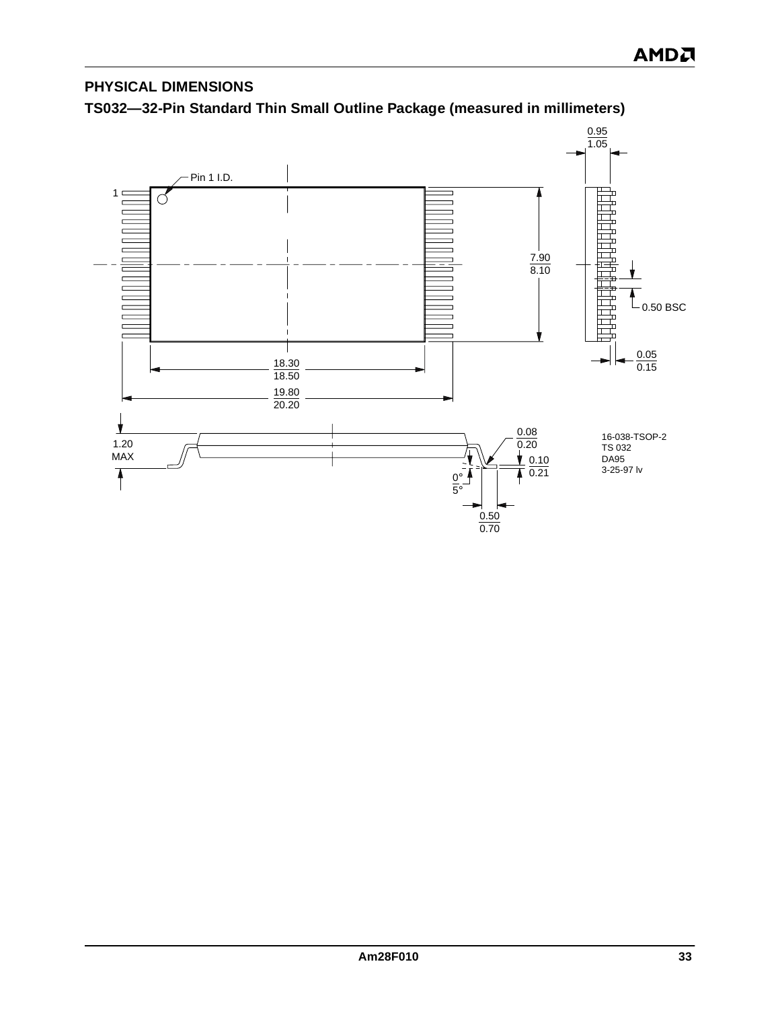## **PHYSICAL DIMENSIONS**

**TS032—32-Pin Standard Thin Small Outline Package (measured in millimeters)**

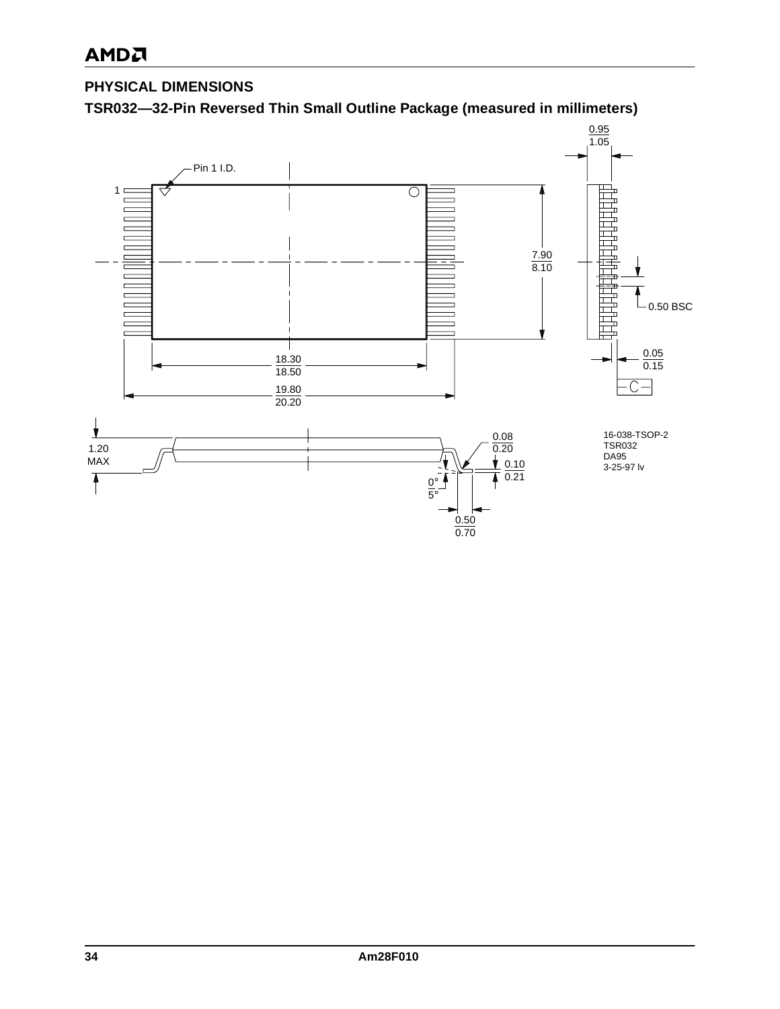## **PHYSICAL DIMENSIONS**

**TSR032—32-Pin Reversed Thin Small Outline Package (measured in millimeters)**